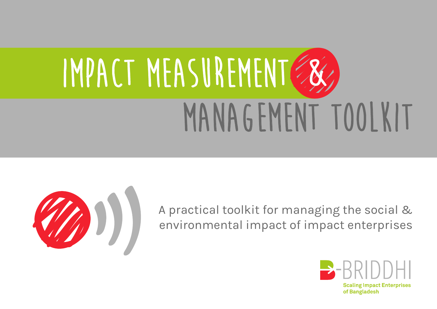# **Impact Measurement Management Toolkit**



A practical toolkit for managing the social & environmental impact of impact enterprises

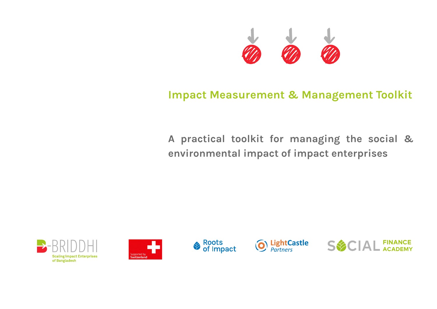

# **Impact Measurement & Management Toolkit**

**A practical toolkit for managing the social & environmental impact of impact enterprises**









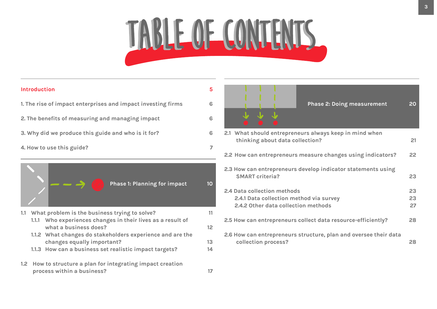# **TABLE OF CONTENTS TABLE OF CONTENTs**

| Introduction                                                                                                                                      | 5                     |                                                                                                                                                                                                         |                      |
|---------------------------------------------------------------------------------------------------------------------------------------------------|-----------------------|---------------------------------------------------------------------------------------------------------------------------------------------------------------------------------------------------------|----------------------|
| 1. The rise of impact enterprises and impact investing firms                                                                                      | 6                     | <b>Phase 2: Doing measurement</b>                                                                                                                                                                       | 20                   |
| 2. The benefits of measuring and managing impact                                                                                                  | 6                     |                                                                                                                                                                                                         |                      |
| 3. Why did we produce this guide and who is it for?                                                                                               | 6                     | 2.1 What should entrepreneurs always keep in mind when<br>thinking about data collection?                                                                                                               | 21                   |
| 4. How to use this guide?                                                                                                                         | 7                     |                                                                                                                                                                                                         |                      |
|                                                                                                                                                   |                       | 2.2 How can entrepreneurs measure changes using indicators?                                                                                                                                             | 22                   |
| <b>Phase 1: Planning for impact</b>                                                                                                               | 10 <sub>o</sub>       | 2.3 How can entrepreneurs develop indicator statements using<br><b>SMART criteria?</b><br>2.4 Data collection methods<br>2.4.1 Data collection method via survey<br>2.4.2 Other data collection methods | 23<br>23<br>23<br>27 |
| What problem is the business trying to solve?<br>1.1<br>1.1.1 Who experiences changes in their lives as a result of<br>what a business does?      | 11<br>12 <sup>°</sup> | 2.5 How can entrepreneurs collect data resource-efficiently?                                                                                                                                            | 28                   |
| 1.1.2 What changes do stakeholders experience and are the<br>changes equally important?<br>1.1.3 How can a business set realistic impact targets? | 13<br>14              | 2.6 How can entrepreneurs structure, plan and oversee their data<br>collection process?                                                                                                                 | 28                   |
| 1.2 How to structure a plan for integrating impact creation<br>process within a business?                                                         | 17                    |                                                                                                                                                                                                         |                      |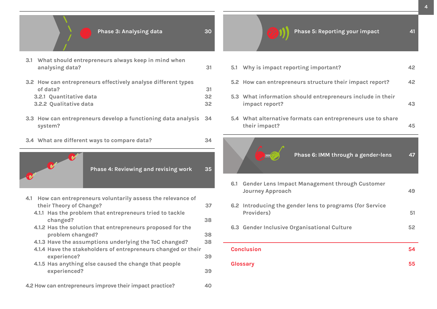**34**



| 3.1 What should entrepreneurs always keep in mind when<br>analysing data?                                                      | -31                          |
|--------------------------------------------------------------------------------------------------------------------------------|------------------------------|
| 3.2 How can entrepreneurs effectively analyse different types<br>of data?<br>3.2.1 Quantitative data<br>3.2.2 Qualitative data | -31<br>32<br>32 <sup>2</sup> |
|                                                                                                                                |                              |

- **3.3 How can entrepreneurs develop a functioning data analysis 34 system?**
- **3.4 What are different ways to compare data?**



| <b>Phase 4: Reviewing and revising work</b> | 35 |
|---------------------------------------------|----|
|                                             |    |

| How can entrepreneurs voluntarily assess the relevance of<br>4.1 |    |
|------------------------------------------------------------------|----|
| their Theory of Change?                                          | 37 |
| 4.1.1 Has the problem that entrepreneurs tried to tackle         |    |
| changed?                                                         | 38 |
| 4.1.2 Has the solution that entrepreneurs proposed for the       |    |
| problem changed?                                                 | 38 |
| 4.1.3 Have the assumptions underlying the ToC changed?           | 38 |
| 4.1.4 Have the stakeholders of entrepreneurs changed or their    |    |
| experience?                                                      | 39 |
| 4.1.5 Has anything else caused the change that people            |    |
| experienced?                                                     | 39 |
|                                                                  |    |
| 4.2 How can entrepreneurs improve their impact practice?         | 40 |

| Phase 6: IMM through a gender-lens                                           |    |
|------------------------------------------------------------------------------|----|
| 5.4 What alternative formats can entrepreneurs use to share<br>their impact? | 45 |
| 5.3 What information should entrepreneurs include in their<br>impact report? | 43 |
| 5.2 How can entrepreneurs structure their impact report?                     | 42 |
| 5.1 Why is impact reporting important?                                       | 42 |
|                                                                              |    |

| 6.2 Introducing the gender lens to programs (for Service<br>Providers) | 51 |
|------------------------------------------------------------------------|----|
| 6.3 Gender Inclusive Organisational Culture                            | 52 |
|                                                                        |    |
| <b>Conclusion</b>                                                      | 54 |

**41**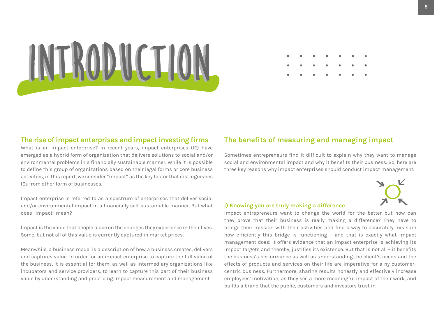

#### **The rise of impact enterprises and impact investing firms**

What is an impact enterprise? In recent years, impact enterprises (IE) have emerged as a hybrid form of organization that delivers solutions to social and/or environmental problems in a financially sustainable manner. While it is possible to define this group of organizations based on their legal forms or core business activities, in this report, we consider "impact" as the key factor that distinguishes IEs from other form of businesses.

Impact enterprise is referred to as a spectrum of enterprises that deliver social and/or environmental impact in a financially self-sustainable manner. But what does "impact" mean?

Impact is the value that people place on the changes they experience in their lives. Some, but not all of this value is currently captured in market prices.

Meanwhile, a business model is a description of how a business creates, delivers and captures value. In order for an impact enterprise to capture the full value of the business, it is essential for them, as well as intermediary organizations like incubators and service providers, to learn to capture this part of their business value by understanding and practicing impact measurement and management.

#### **The benefits of measuring and managing impact**

Sometimes entrepreneurs find it difficult to explain why they want to manage social and environmental impact and why it benefits their business. So, here are three key reasons why impact enterprises should conduct impact management:



#### **I) Knowing you are truly making a difference**

Impact entrepreneurs want to change the world for the better but how can they prove that their business is really making a difference? They have to bridge their mission with their activities and find a way to accurately measure how efficiently this bridge is functioning – and that is exactly what impact management does! It offers evidence that an impact enterprise is achieving its impact targets and thereby, justifies its existence. But that is not all – it benefits the business's performance as well as understanding the client's needs and the effects of products and services on their life are imperative for a ny customercentric business. Furthermore, sharing results honestly and effectively increase employees' motivation, as they see a more meaningful impact of their work, and builds a brand that the public, customers and investors trust in.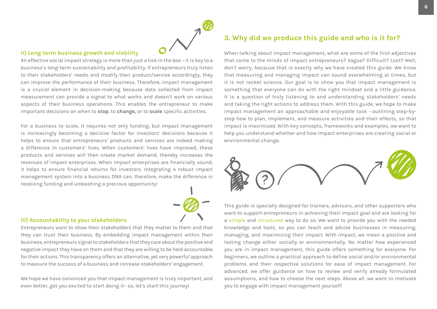#### <span id="page-5-0"></span>**II) Long-term business growth and viability**

An effective social impact strategy is more than just a tick in the box – it is key to a business's long-term sustainability and profitability. If entrepreneurs truly listen to their stakeholders' needs and modify their product/service accordingly, they can improve the performance of their business. Therefore, impact management is a crucial element in decision-making because data collected from impact measurement can provide a signal to what works and doesn't work on various aspects of their business operations. This enables the entrepreneur to make important decisions on when to **stop**, to **change,** or to **scale** specific activities.

For a business to scale, it requires not only funding, but impact management is increasingly becoming a decisive factor for investors' decisions because it helps to ensure that entrepreneurs' products and services are indeed making a difference in customers' lives. When customers' lives have improved, these products and services will then create market demand, thereby increases the revenues of impact enterprises. When impact enterprises are financially sound, it helps to ensure financial returns for investors. Integrating a robust impact management system into a business DNA can, therefore, make the difference in receiving funding and unleashing a precious opportunity!



#### **III) Accountability to your stakeholders**

Entrepreneurs want to show their stakeholders that they matter to them and that they can trust their business. By embedding impact management within their business, entrepreneurs signal to stakeholders that they care about the positive and negative impact they have on them and that they are willing to be held accountable for their actions. This transparency offers an alternative, yet very powerful approach to measure the success of a business and increase stakeholders' engagement.

We hope we have convinced you that impact management is truly important, and even better, got you excited to start doing it– so, let's start this journey!

## **3. Why did we produce this guide and who is it for?**

When talking about impact management, what are some of the first adjectives that come to the minds of impact entrepreneurs? Vague? Difficult? Lost? Well, don't worry, because that is exactly why we have created this guide. We know that measuring and managing impact can sound overwhelming at times, but it is not rocket science. Our goal is to show you that impact management is something that everyone can do with the right mindset and a little guidance. It is a question of truly listening to and understanding stakeholders' needs and taking the right actions to address them. With this guide, we hope to make impact management an approachable and enjoyable task - outlining step-bystep how to plan, implement, and measure activities and their effects, so that impact is maximized. With key concepts, frameworks and examples, we want to help you understand whether and how impact enterprises are creating social or environmental change.



This guide is specially designed for trainers, advisors, and other supporters who want to support entrepreneurs in achieving their impact goal and are looking for a simple and structured way to do so. We want to provide you with the needed knowledge and tools, so you can teach and advise businesses in measuring, managing, and maximizing their impact. With impact, we mean a positive and lasting change either socially or environmentally. No matter how experienced you are in impact management, this guide offers something for everyone. For beginners, we outline a practical approach to define social and/or environmental problems and their respective solutions for ease of impact management. For advanced, we offer guidance on how to review and verify already formulated assumptions, and how to choose the next steps. Above all, we want to motivate you to engage with impact management yourself!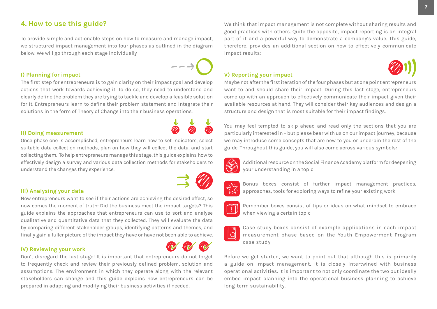#### **4. How to use this guide?**

To provide simple and actionable steps on how to measure and manage impact, we structured impact management into four phases as outlined in the diagram below. We will go through each stage individually

#### **I) Planning for impact**

The first step for entrepreneurs is to gain clarity on their impact goal and develop actions that work towards achieving it. To do so, they need to understand and clearly define the problem they are trying to tackle and develop a feasible solution for it. Entrepreneurs learn to define their problem statement and integrate their solutions in the form of Theory of Change into their business operations.

#### **II) Doing measurement**

Once phase one is accomplished, entrepreneurs learn how to set indicators, select suitable data collection methods, plan on how they will collect the data, and start collecting them. To help entrepreneurs manage this stage, this guide explains how to effectively design a survey and various data collection methods for stakeholders to understand the changes they experience.

#### **III) Analysing your data**

Now entrepreneurs want to see if their actions are achieving the desired effect, so now comes the moment of truth: Did the business meet the impact targets? This guide explains the approaches that entrepreneurs can use to sort and analyse qualitative and quantitative data that they collected. They will evaluate the data by comparing different stakeholder groups, identifying patterns and themes, and finally gain a fuller picture of the impact they have or have not been able to achieve.

#### **IV) Reviewing your work**

Don't disregard the last stage! It is important that entrepreneurs do not forget to frequently check and review their previously defined problem, solution and assumptions. The environment in which they operate along with the relevant stakeholders can change and this guide explains how entrepreneurs can be prepared in adapting and modifying their business activities if needed.

We think that impact management is not complete without sharing results and good practices with others. Quite the opposite, impact reporting is an integral part of it and a powerful way to demonstrate a company's value. This guide, therefore, provides an additional section on how to effectively communicate impact results:

#### **V) Reporting your impact**

Maybe not after the first iteration of the four phases but at one point entrepreneurs want to and should share their impact. During this last stage, entrepreneurs come up with an approach to effectively communicate their impact given their available resources at hand. They will consider their key audiences and design a structure and design that is most suitable for their impact findings.

You may feel tempted to skip ahead and read only the sections that you are particularly interested in – but please bear with us on our impact journey, because we may introduce some concepts that are new to you or underpin the rest of the guide. Throughout this guide, you will also come across various symbols:



Additional resource on the Social Finance Academy platform for deepening your understanding in a topic



Bonus boxes consist of further impact management practices, approaches, tools for exploring ways to refine your existing work



Remember boxes consist of tips or ideas on what mindset to embrace when viewing a certain topic



Case study boxes consist of example applications in each impact measurement phase based on the Youth Empowerment Program case study

Before we get started, we want to point out that although this is primarily a guide on impact management, it is closely intertwined with business operational activities. It is important to not only coordinate the two but ideally embed impact planning into the operational business planning to achieve long-term sustainability.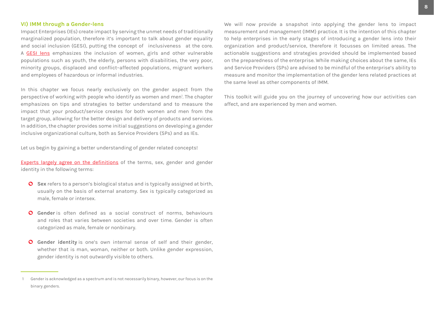#### **VI) IMM through a Gender-lens**

Impact Enterprises (IEs) create impact by serving the unmet needs of traditionally marginalized population, therefore it's important to talk about gender equality and social inclusion (GESI), putting the concept of inclusiveness at the core. A [GESI lens](https://www.cowater.com/wp-content/uploads/2019/05/Covid-19-GESI-Tool.pdf) emphasizes the inclusion of women, girls and other vulnerable populations such as youth, the elderly, persons with disabilities, the very poor, minority groups, displaced and conflict–affected populations, migrant workers and employees of hazardous or informal industries.

In this chapter we focus nearly exclusively on the gender aspect from the perspective of working with people who identify as women and men<sup>1</sup>. The chapter emphasizes on tips and strategies to better understand and to measure the impact that your product/service creates for both women and men from the target group, allowing for the better design and delivery of products and services. In addition, the chapter provides some initial suggestions on developing a gender inclusive organizational culture, both as Service Providers (SPs) and as IEs.

Let us begin by gaining a better understanding of gender related concepts!

[Experts largely agree on the definitions](https://www.npr.org/2021/06/02/996319297/gender-identity-pronouns-expression-guide-lgbtq?t=1639995969245) of the terms, sex, gender and gender identity in the following terms:

- **Sex** refers to a person's biological status and is typically assigned at birth, usually on the basis of external anatomy. Sex is typically categorized as male, female or intersex.
- **Gender** is often defined as a social construct of norms, behaviours and roles that varies between societies and over time. Gender is often categorized as male, female or nonbinary.
- **Gender identity** is one's own internal sense of self and their gender, whether that is man, woman, neither or both. Unlike gender expression, gender identity is not outwardly visible to others.

We will now provide a snapshot into applying the gender lens to impact measurement and management (IMM) practice. It is the intention of this chapter to help enterprises in the early stages of introducing a gender lens into their organization and product/service, therefore it focusses on limited areas. The actionable suggestions and strategies provided should be implemented based on the preparedness of the enterprise. While making choices about the same, IEs and Service Providers (SPs) are advised to be mindful of the enterprise's ability to measure and monitor the implementation of the gender lens related practices at the same level as other components of IMM.

This toolkit will guide you on the journey of uncovering how our activities can affect, and are experienced by men and women.

<sup>1</sup> Gender is acknowledged as a spectrum and is not necessarily binary, however, our focus is on the binary genders.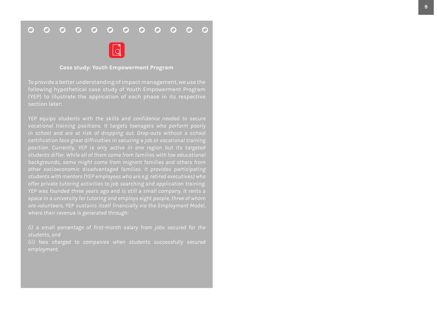#### $0000000000$  $\overline{O}$  $O$   $O$



#### **Case study: Youth Empowerment Program**

To provide a better understanding of impact management, we use the following hypothetical case study of Youth Empowerment Program (YEP) to illustrate the application of each phase in its respective section later:

*YEP equips students with the skills and confidence needed to secure vocational training positions. It targets teenagers who perform poorly in school and are at risk of dropping out. Drop-outs without a school position. Currently, YEP is only active in one region but its targeted students differ. While all of them come from families with low educational backgrounds, some might come from migrant families and others from other socioeconomic disadvantaged families. It provides participating students with mentors (YEP employees who are e.g. retired executives) who offer private tutoring activities to job searching and application training. are volunteers. YEP sustains itself financially via the Employment Model, where their revenue is generated through:* 

*(i) a small percentage of first-month salary from jobs secured for the students, and* 

*employment.*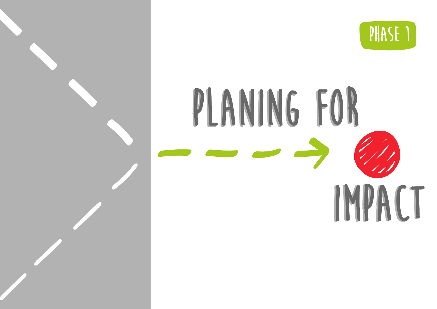

# <span id="page-9-0"></span>**PLANING FOR PLANING FOR IMPACT**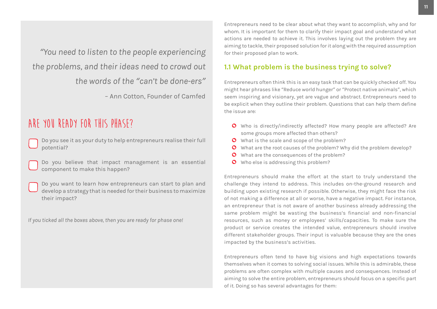<span id="page-10-0"></span>*"You need to listen to the people experiencing the problems, and their ideas need to crowd out the words of the "can't be done-ers"* – Ann Cotton, Founder of Camfed

## **Are you ready for this phase?**

- Do you see it as your duty to help entrepreneurs realise their full potential?
- Do you believe that impact management is an essential component to make this happen?
- Do you want to learn how entrepreneurs can start to plan and develop a strategy that is needed for their business to maximize their impact?

*If you ticked all the boxes above, then you are ready for phase one!*

Entrepreneurs need to be clear about what they want to accomplish, why and for whom. It is important for them to clarify their impact goal and understand what actions are needed to achieve it. This involves laying out the problem they are aiming to tackle, their proposed solution for it along with the required assumption for their proposed plan to work.

## **1.1 What problem is the business trying to solve?**

Entrepreneurs often think this is an easy task that can be quickly checked off. You might hear phrases like "Reduce world hunger" or "Protect native animals", which seem inspiring and visionary, yet are vague and abstract. Entrepreneurs need to be explicit when they outline their problem. Questions that can help them define the issue are:

- Who is directly/indirectly affected? How many people are affected? Are some groups more affected than others?
- O What is the scale and scope of the problem?
- What are the root causes of the problem? Why did the problem develop?
- O What are the consequences of the problem?
- **O** Who else is addressing this problem?

Entrepreneurs should make the effort at the start to truly understand the challenge they intend to address. This includes on-the-ground research and building upon existing research if possible. Otherwise, they might face the risk of not making a difference at all or worse, have a negative impact. For instance, an entrepreneur that is not aware of another business already addressing the same problem might be wasting the business's financial and non-financial resources, such as money or employees' skills/capacities. To make sure the product or service creates the intended value, entrepreneurs should involve different stakeholder groups. Their input is valuable because they are the ones impacted by the business's activities.

Entrepreneurs often tend to have big visions and high expectations towards themselves when it comes to solving social issues. While this is admirable, these problems are often complex with multiple causes and consequences. Instead of aiming to solve the entire problem, entrepreneurs should focus on a specific part of it. Doing so has several advantages for them: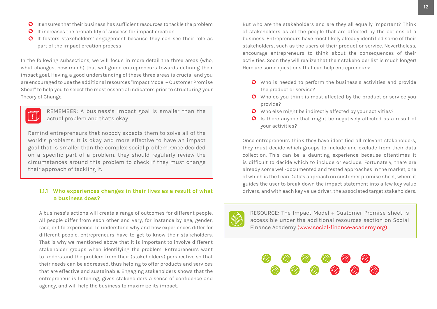- <span id="page-11-0"></span>**O** It increases the probability of success for impact creation
- It fosters stakeholders' engagement because they can see their role as part of the impact creation process

In the following subsections, we will focus in more detail the three areas (who, what changes, how much) that will guide entrepreneurs towards defining their impact goal. Having a good understanding of these three areas is crucial and you are encouraged to use the additional resources "Impact Model + Customer Promise Sheet" to help you to select the most essential indicators prior to structuring your Theory of Change.



REMEMBER: A business's impact goal is smaller than the actual problem and that's okay

Remind entrepreneurs that nobody expects them to solve all of the world's problems. It is okay and more effective to have an impact goal that is smaller than the complex social problem. Once decided on a specific part of a problem, they should regularly review the circumstances around this problem to check if they must change their approach of tackling it.

#### **1.1.1 Who experiences changes in their lives as a result of what a business does?**

A business's actions will create a range of outcomes for different people. All people differ from each other and vary, for instance by age, gender, race, or life experience. To understand why and how experiences differ for different people, entrepreneurs have to get to know their stakeholders. That is why we mentioned above that it is important to involve different stakeholder groups when identifying the problem. Entrepreneurs want to understand the problem from their (stakeholders) perspective so that their needs can be addressed, thus helping to offer products and services that are effective and sustainable. Engaging stakeholders shows that the entrepreneur is listening, gives stakeholders a sense of confidence and agency, and will help the business to maximize its impact.

But who are the stakeholders and are they all equally important? Think of stakeholders as all the people that are affected by the actions of a business. Entrepreneurs have most likely already identified some of their stakeholders, such as the users of their product or service. Nevertheless, encourage entrepreneurs to think about the consequences of their activities. Soon they will realize that their stakeholder list is much longer! Here are some questions that can help entrepreneurs:

- **O** Who is needed to perform the business's activities and provide the product or service?
- **O** Who do you think is most affected by the product or service you provide?
- O Who else might be indirectly affected by your activities?
- $\bullet$  Is there anyone that might be negatively affected as a result of your activities?

Once entrepreneurs think they have identified all relevant stakeholders, they must decide which groups to include and exclude from their data collection. This can be a daunting experience because oftentimes it is difficult to decide which to include or exclude. Fortunately, there are already some well-documented and tested approaches in the market, one of which is the Lean Data's approach on customer promise sheet, where it guides the user to break down the impact statement into a few key value drivers, and with each key value driver, the associated target stakeholders.



RESOURCE: The Impact Model + Customer Promise sheet is accessible under the additional resources section on Social Finance Academy ([www.social-finance](www.social-finance-academy.org)-academy.org).

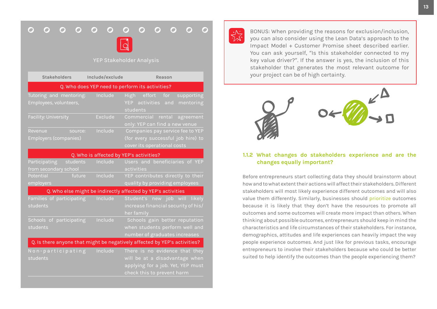#### <span id="page-12-0"></span> $\Omega$  $\bullet$  $\bullet$  $\bullet$  $\overline{O}$  $\Omega$  $\Omega$  $\Omega$  $\overline{O}$  $\overline{O}$  $\overline{\mathbf{O}}$  $\Omega$



#### YEP Stakeholder Analysis

| <b>Stakeholders</b>                                                       | Include/exclude                         | Reason                                                                                                                              |  |  |  |  |
|---------------------------------------------------------------------------|-----------------------------------------|-------------------------------------------------------------------------------------------------------------------------------------|--|--|--|--|
|                                                                           |                                         | Q. Who does YEP need to perform its activities?                                                                                     |  |  |  |  |
| Tutoring and mentoring:<br>Employees, volunteers,                         | Include                                 | High<br>effort<br>for<br>supporting<br>YEP activities and<br>mentoring<br>students                                                  |  |  |  |  |
| <b>Facility: University</b>                                               | <b>Exclude</b>                          | Commercial rental<br>agreement<br>only: YEP can find a new venue                                                                    |  |  |  |  |
| Revenue<br>source:<br>Employers (companies)                               | Include                                 | Companies pay service fee to YEP<br>(for every successful job hire) to<br>cover its operational costs                               |  |  |  |  |
|                                                                           | Q. Who is affected by YEP's activities? |                                                                                                                                     |  |  |  |  |
| Participating<br>students<br>from secondary school                        | Include                                 | Users and beneficiaries of YEP<br>activities                                                                                        |  |  |  |  |
| Potential<br>future<br>employers                                          | Include                                 | YEP contributes directly to their<br>quality by providing employees                                                                 |  |  |  |  |
|                                                                           |                                         | Q. Who else might be indirectly affected by YEP's activities                                                                        |  |  |  |  |
| Families of participating<br>students                                     | Include                                 | Student's new job will likely<br>increase financial security of his/<br>her family                                                  |  |  |  |  |
| Schools of participating<br>students                                      | Include                                 | Schools gain better reputation<br>when students perform well and<br>number of graduates increases                                   |  |  |  |  |
| Q. Is there anyone that might be negatively affected by YEP's activities? |                                         |                                                                                                                                     |  |  |  |  |
| Non-participating<br>students                                             | Include                                 | There is no evidence that they<br>will be at a disadvantage when<br>applying for a job. Yet, YEP must<br>check this to prevent harm |  |  |  |  |



BONUS: When providing the reasons for exclusion/inclusion, you can also consider using the Lean Data's approach to the Impact Model + Customer Promise sheet described earlier. You can ask yourself, "Is this stakeholder connected to my key value driver?". If the answer is yes, the inclusion of this stakeholder that generates the most relevant outcome for your project can be of high certainty.



#### **1.1.2 What changes do stakeholders experience and are the changes equally important?**

Before entrepreneurs start collecting data they should brainstorm about how and to what extent their actions will affect their stakeholders. Different stakeholders will most likely experience different outcomes and will also value them differently. Similarly, businesses should prioritize outcomes because it is likely that they don't have the resources to promote all outcomes and some outcomes will create more impact than others. When thinking about possible outcomes, entrepreneurs should keep in mind the characteristics and life circumstances of their stakeholders. For instance, demographics, attitudes and life experiences can heavily impact the way people experience outcomes. And just like for previous tasks, encourage entrepreneurs to involve their stakeholders because who could be better suited to help identify the outcomes than the people experiencing them?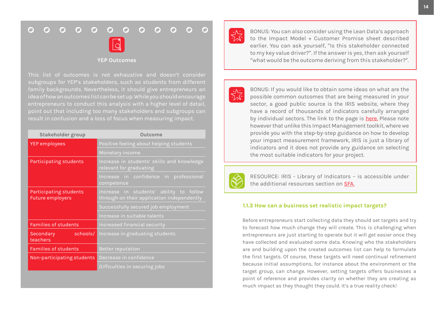#### $O$   $O$  $\overline{O}$   $\overline{O}$  $\Omega$  $\Omega$  $O$   $O$  $\Omega$  $\overline{O}$  $\Omega$  $\Omega$



#### **YEP Outcomes**

This list of outcomes is not exhaustive and doesn't consider subgroups for YEP's stakeholders, such as students from different family backgrounds. Nevertheless, it should give entrepreneurs an idea of how an outcomes list can be set up. While you should encourage entrepreneurs to conduct this analysis with a higher level of detail, point out that including too many stakeholders and subgroups can result in confusion and a loss of focus when measuring impact.

| Stakeholder group                                 | Outcome                                                                               |  |  |
|---------------------------------------------------|---------------------------------------------------------------------------------------|--|--|
| <b>YEP</b> employees                              | Positive feeling about helping students                                               |  |  |
|                                                   | Monetary income                                                                       |  |  |
| Participating students                            | Increase in students' skills and knowledge<br>relevant for graduating                 |  |  |
|                                                   | Increase in confidence in professional<br>competence                                  |  |  |
| Participating students<br><b>Future employers</b> | Increase in students' ability to follow<br>through on their application independently |  |  |
|                                                   | Successfully secured job employment                                                   |  |  |
|                                                   | Increase in suitable talents                                                          |  |  |
| <b>Families of students</b>                       | Increased financial security                                                          |  |  |
| schools/<br>Secondary<br>teachers                 | Increase in graduating students                                                       |  |  |
| <b>Families of students</b>                       | <b>Better reputation</b>                                                              |  |  |
| Non-participating students                        | Decrease in confidence                                                                |  |  |
|                                                   | Difficulties in securing jobs                                                         |  |  |



BONUS: You can also consider using the Lean Data's approach to the Impact Model + Customer Promise sheet described earlier. You can ask yourself, "Is this stakeholder connected to my key value driver?". If the answer is yes, then ask yourself "what would be the outcome deriving from this stakeholder?".



BONUS: If you would like to obtain some ideas on what are the possible common outcomes that are being measured in your sector, a good public source is the IRIS website, where they have a record of thousands of indicators carefully arranged by individual sectors. The link to the page is [here.](https://iris.thegiin.org/metrics/?search=&sortby=alphabetical) Please note however that unlike this Impact Management toolkit, where we provide you with the step-by-step guidance on how to develop your impact measurement framework, IRIS is just a library of indicators and it does not provide any guidance on selecting the most suitable indicators for your project.



RESOURCE: IRIS - Library of Indicators – is accessible under the additional resources section on [SFA.](https://social-finance-academy.org/)

#### **1.1.3 How can a business set realistic impact targets?**

Before entrepreneurs start collecting data they should set targets and try to forecast how much change they will create. This is challenging when entrepreneurs are just starting to operate but it will get easier once they have collected and evaluated some data. Knowing who the stakeholders are and building upon the created outcomes list can help to formulate the first targets. Of course, these targets will need continual refinement because initial assumptions, for instance about the environment or the target group, can change. However, setting targets offers businesses a point of reference and provides clarity on whether they are creating as much impact as they thought they could. It's a true reality check!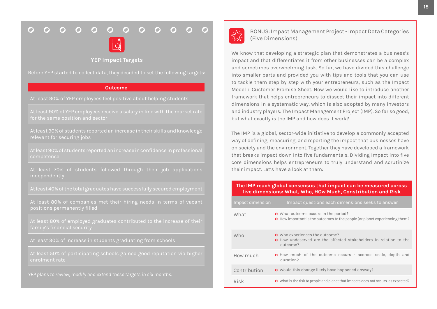#### $\begin{array}{ccc} \circ & \circ & \circ & \circ & \circ \end{array}$  $\overline{O}$  $\bullet$  $\overline{O}$  $\overline{O}$   $\overline{O}$  $\Omega$  $\Omega$



#### **YEP Impact Targets**

Before YEP started to collect data, they decided to set the following targets:

#### **Outcome**

At least 90% of YEP employees receive a salary in line with the market rate for the same position and sector

At least 90% of students reported an increase in their skills and knowledge relevant for securing jobs

At least 70% of students followed through their job applications independently

positions permanently filled

At least 80% of employed graduates contributed to the increase of their

At least 30% of increase in students graduating from schools

enrolment rate

*YEP plans to review, modify and extend these targets in six months.* 



BONUS: Impact Management Project - Impact Data Categories (Five Dimensions)

We know that developing a strategic plan that demonstrates a business's impact and that differentiates it from other businesses can be a complex and sometimes overwhelming task. So far, we have divided this challenge into smaller parts and provided you with tips and tools that you can use to tackle them step by step with your entrepreneurs, such as the Impact Model + Customer Promise Sheet. Now we would like to introduce another framework that helps entrepreneurs to dissect their impact into different dimensions in a systematic way, which is also adopted by many investors and industry players: The Impact Management Project (IMP). So far so good, but what exactly is the IMP and how does it work?

The IMP is a global, sector-wide initiative to develop a commonly accepted way of defining, measuring, and reporting the impact that businesses have on society and the environment. Together they have developed a framework that breaks impact down into five fundamentals. Dividing impact into five core dimensions helps entrepreneurs to truly understand and scrutinize their impact. Let's have a look at them:

#### **The IMP reach global consensus that impact can be measured across five dimensions: What, Who, HOw Much, Constribution and Risk**

| Impact dimension | Impact questions each dimensions seeks to answer                                                                              |
|------------------|-------------------------------------------------------------------------------------------------------------------------------|
| What             | <b>O</b> What outcome occurs in the period?<br>O How important is the outcomes to the people (or planet experiencing them?    |
| Who              | <b>O</b> Who experiences the outcome?<br><b>O</b> How undeserved are the affected stakeholders in relation to the<br>outcome? |
| How much         | <b>O</b> How much of the outcome occurs - accross scale, depth and<br>duration?                                               |
| Contribution     | <b>O</b> Would this change likely have happened anyway?                                                                       |
| Risk             | O What is the risk to people and planet that impacts does not occurs as expected?                                             |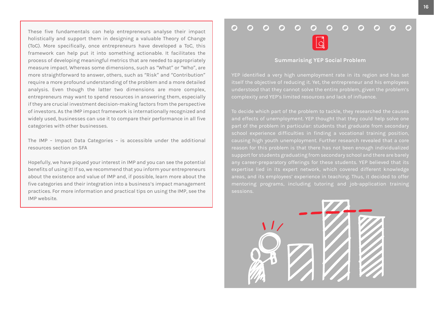<span id="page-15-0"></span>These five fundamentals can help entrepreneurs analyse their impact holistically and support them in designing a valuable Theory of Change (ToC). More specifically, once entrepreneurs have developed a ToC, this framework can help put it into something actionable. It facilitates the process of developing meaningful metrics that are needed to appropriately measure impact. Whereas some dimensions, such as "What" or "Who", are more straightforward to answer, others, such as "Risk" and "Contribution" require a more profound understanding of the problem and a more detailed analysis. Even though the latter two dimensions are more complex, entrepreneurs may want to spend resources in answering them, especially if they are crucial investment decision-making factors from the perspective of investors. As the IMP impact framework is internationally recognized and widely used, businesses can use it to compare their performance in all five categories with other businesses.

The IMP – Impact Data Categories – is accessible under the additional resources section on SFA

Hopefully, we have piqued your interest in IMP and you can see the potential benefits of using it! If so, we recommend that you inform your entrepreneurs about the existence and value of IMP and, if possible, learn more about the five categories and their integration into a business's impact management practices. For more information and practical tips on using the IMP, see the IMP website.

#### $\Omega$  $\Omega$  $\Omega$  $\Omega$  $\mathbf{\Omega}$  $\bigcap$  $\bigcap$  $\mathbf{\Omega}$  $\Omega$



#### **Summarising YEP Social Problem**

itself the objective of reducing it. Yet, the entrepreneur and his employees understood that they cannot solve the entire problem, given the problem's

To decide which part of the problem to tackle, they researched the causes and effects of unemployment. YEP thought that they could help solve one school experience difficulties in finding a vocational training position, support for students graduating from secondary school and there are barely expertise lied in its expert network, which covered different knowledge mentoring programs, including tutoring and job-application training sessions.

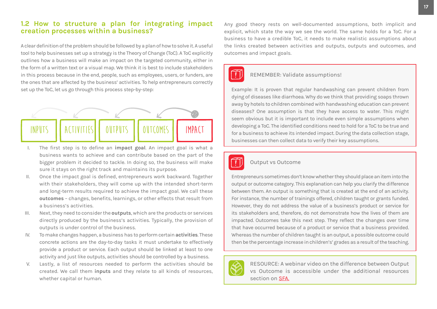#### <span id="page-16-0"></span>**1.2 How to structure a plan for integrating impact creation processes within a business?**

A clear definition of the problem should be followed by a plan of how to solve it. A useful tool to help businesses set up a strategy is the Theory of Change (ToC). A ToC explicitly outlines how a business will make an impact on the targeted community, either in the form of a written text or a visual map. We think it is best to include stakeholders in this process because in the end, people, such as employees, users, or funders, are the ones that are affected by the business' activities. To help entrepreneurs correctly set up the ToC, let us go through this process step-by-step:



- I. The first step is to define an **impact goal**. An impact goal is what a business wants to achieve and can contribute based on the part of the bigger problem it decided to tackle. In doing so, the business will make sure it stays on the right track and maintains its purpose.
- II. Once the impact goal is defined, entrepreneurs work backward. Together with their stakeholders, they will come up with the intended short-term and long-term results required to achieve the impact goal. We call these **outcomes** – changes, benefits, learnings, or other effects that result from a business's activities.
- III. Next, they need to consider the **outputs**, which are the products or services directly produced by the business's activities. Typically, the provision of outputs is under control of the business.
- IV. To make changes happen, a business has to perform certain **activities**. These concrete actions are the day-to-day tasks it must undertake to effectively provide a product or service. Each output should be linked at least to one activity and just like outputs, activities should be controlled by a business.
- V. Lastly, a list of resources needed to perform the activities should be created. We call them **inputs** and they relate to all kinds of resources, whether capital or human.

Any good theory rests on well-documented assumptions, both implicit and explicit, which state the way we see the world. The same holds for a ToC. For a business to have a credible ToC, it needs to make realistic assumptions about the links created between activities and outputs, outputs and outcomes, and outcomes and impact goals.

#### REMEMBER: Validate assumptions!

Example: It is proven that regular handwashing can prevent children from dying of diseases like diarrhoea. Why do we think that providing soaps thrown away by hotels to children combined with handwashing education can prevent diseases? One assumption is that they have access to water. This might seem obvious but it is important to include even simple assumptions when developing a ToC. The identified conditions need to hold for a ToC to be true and for a business to achieve its intended impact. During the data collection stage, businesses can then collect data to verify their key assumptions.



#### Output vs Outcome

Entrepreneurs sometimes don't know whether they should place an item into the output or outcome category. This explanation can help you clarify the difference between them. An output is something that is created at the end of an activity. For instance, the number of trainings offered, children taught or grants funded. However, they do not address the value of a business's product or service for its stakeholders and, therefore, do not demonstrate how the lives of them are impacted. Outcomes take this next step. They reflect the changes over time that have occurred because of a product or service that a business provided. Whereas the number of children taught is an output, a possible outcome could then be the percentage increase in children's' grades as a result of the teaching.



RESOURCE: A webinar video on the difference between Output vs Outcome is accessible under the additional resources section on [SFA.](https://social-finance-academy.org/)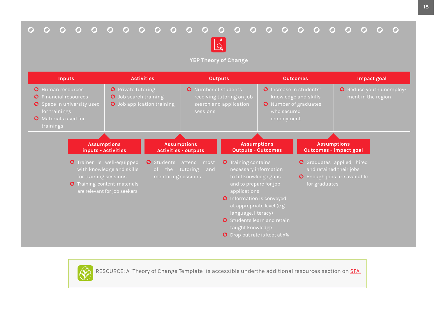## 



**YEP Theory of Change**

| <b>Inputs</b>                                                                                                                                                     |                                                                                                                                                                                    | <b>Activities</b>                                    |                                                                          | <b>Outputs</b>                                                                                                                                                                                                                                                                |                                                                               | <b>Outcomes</b>                               | Impact goal                                                                                                                                        |
|-------------------------------------------------------------------------------------------------------------------------------------------------------------------|------------------------------------------------------------------------------------------------------------------------------------------------------------------------------------|------------------------------------------------------|--------------------------------------------------------------------------|-------------------------------------------------------------------------------------------------------------------------------------------------------------------------------------------------------------------------------------------------------------------------------|-------------------------------------------------------------------------------|-----------------------------------------------|----------------------------------------------------------------------------------------------------------------------------------------------------|
| <b>O</b> Human resources<br><b>Financial resources</b><br>$\mathbf{O}$<br><b>O</b> Space in university used<br>for trainings<br>O Materials used for<br>trainings | <b>O</b> Private tutoring<br>O Job search training                                                                                                                                 | O Job application training                           | O Number of students<br>sessions                                         | receiving tutoring on job<br>search and application                                                                                                                                                                                                                           | O Increase in students'<br>who secured<br>employment                          | knowledge and skills<br>O Number of graduates | O Reduce youth unemploy-<br>ment in the region                                                                                                     |
| for training sessions                                                                                                                                             | <b>Assumptions</b><br>inputs - activities<br><b>O</b> Trainer is well-equipped<br>with knowledge and skills<br><b>O</b> Training content materials<br>are relevant for job seekers | <b>O</b> Students<br>the<br>of<br>mentoring sessions | Assumptions<br>activities - outputs<br>attend<br>most<br>tutoring<br>and | <b>O</b> Training contains<br>necessary information<br>to fill knowledge gaps<br>and to prepare for job<br>applications<br><b>O</b> Information is conveyed<br>language, literacy)<br><b>O</b> Students learn and retain<br>taught knowledge<br>O Drop-out rate is kept at x% | <b>Assumptions</b><br><b>Outputs - Outcomes</b><br>at appropriate level (e.g. | for graduates                                 | <b>Assumptions</b><br><b>Outcomes - impact goal</b><br>O Graduates applied, hired<br>and retained their jobs<br><b>O</b> Enough jobs are available |



RESOURCE: A "Theory of Change Template" is accessible underthe additional resources section on **[SFA.](https://social-finance-academy.org/)**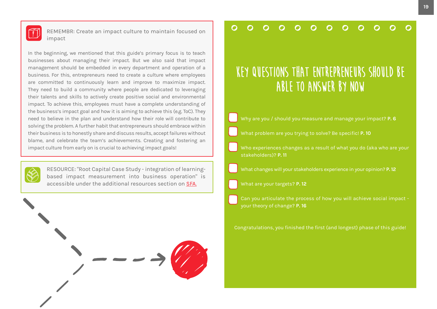

REMEMBR: Create an impact culture to maintain focused on impact

In the beginning, we mentioned that this guide's primary focus is to teach businesses about managing their impact. But we also said that impact management should be embedded in every department and operation of a business. For this, entrepreneurs need to create a culture where employees are committed to continuously learn and improve to maximize impact. They need to build a community where people are dedicated to leveraging their talents and skills to actively create positive social and environmental impact. To achieve this, employees must have a complete understanding of the business's impact goal and how it is aiming to achieve this (e.g. ToC). They need to believe in the plan and understand how their role will contribute to solving the problem. A further habit that entrepreneurs should embrace within their business is to honestly share and discuss results, accept failures without blame, and celebrate the team's achievements. Creating and fostering an impact culture from early on is crucial to achieving impact goals!



RESOURCE: "Root Capital Case Study - integration of learningbased impact measurement into business operation" is accessible under the additional resources section on [SFA.](https://social-finance-academy.org/)



#### $\Omega$  $\Omega$  $\Omega$  $\Omega$  $\Omega$  $\Omega$  $\Omega$  $\Omega$  $\Omega$  $\Omega$

# **Key questions that entrepreneurs should be able to answer by now**

- Why are you / should you measure and manage your impact? **[P. 6](#page-5-0)**
- What problem are you trying to solve? Be specific! **[P. 10](#page-10-0)**
- Who experiences changes as a result of what you do (aka who are your stakeholders)? **[P. 11](#page-11-0)**
- What changes will your stakeholders experience in your opinion? **[P. 12](#page-12-0)**
- What are your targets? **[P. 12](#page-12-0)**
- Can you articulate the process of how you will achieve social impact your theory of change? **[P. 16](#page-16-0)**
- Congratulations, you finished the first (and longest) phase of this guide!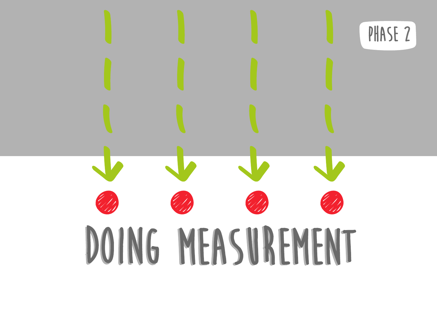<span id="page-19-0"></span>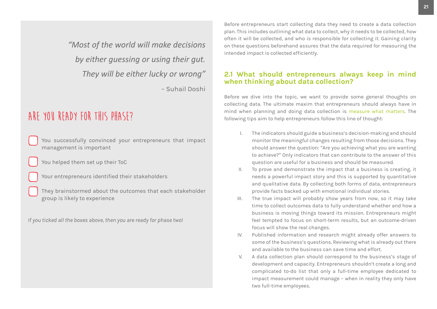*"Most of the world will make decisions by either guessing or using their gut. They will be either lucky or wrong"* 

– Suhail Doshi

## **Are you ready for this phase?**

- You successfully convinced your entrepreneurs that impact management is important
- You helped them set up their ToC
- Your entrepreneurs identified their stakeholders
- They brainstormed about the outcomes that each stakeholder group is likely to experience
- *If you ticked all the boxes above, then you are ready for phase two!*

Before entrepreneurs start collecting data they need to create a data collection plan. This includes outlining what data to collect, why it needs to be collected, how often it will be collected, and who is responsible for collecting it. Gaining clarity on these questions beforehand assures that the data required for measuring the intended impact is collected efficiently.

## **2.1 What should entrepreneurs always keep in mind when thinking about data collection?**

Before we dive into the topic, we want to provide some general thoughts on collecting data. The ultimate maxim that entrepreneurs should always have in mind when planning and doing data collection is measure what matters. The following tips aim to help entrepreneurs follow this line of thought:

- I. The indicators should guide a business's decision-making and should monitor the meaningful changes resulting from those decisions. They should answer the question: "Are you achieving what you are wanting to achieve?" Only indicators that can contribute to the answer of this question are useful for a business and should be measured.
- II. To prove and demonstrate the impact that a business is creating, it needs a powerful impact story and this is supported by quantitative and qualitative data. By collecting both forms of data, entrepreneurs provide facts backed up with emotional individual stories.
- III. The true impact will probably show years from now, so it may take time to collect outcomes data to fully understand whether and how a business is moving things toward its mission. Entrepreneurs might feel tempted to focus on short-term results, but an outcome-driven focus will show the real changes.
- IV. Published information and research might already offer answers to some of the business's questions. Reviewing what is already out there and available to the business can save time and effort.
- V. A data collection plan should correspond to the business's stage of development and capacity. Entrepreneurs shouldn't create a long and complicated to-do list that only a full-time employee dedicated to impact measurement could manage – when in reality they only have two full-time employees.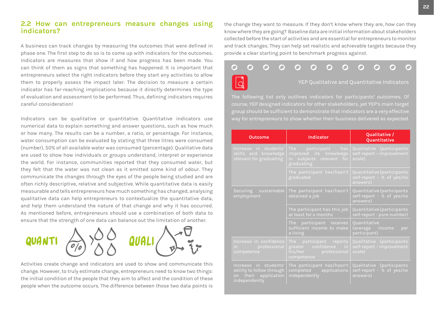#### <span id="page-21-0"></span>**2.2 How can entrepreneurs measure changes using indicators?**

A business can track changes by measuring the outcomes that were defined in phase one. The first step to do so is to come up with indicators for the outcomes. Indicators are measures that show if and how progress has been made. You can think of them as signs that something has happened. It is important that entrepreneurs select the right indicators before they start any activities to allow them to properly assess the impact later. The decision to measure a certain indicator has far-reaching implications because it directly determines the type of evaluation and assessment to be performed. Thus, defining indicators requires careful consideration!

Indicators can be qualitative or quantitative. Quantitative indicators use numerical data to explain something and answer questions, such as how much or how many. The results can be a number, a ratio, or percentage. For instance, water consumption can be evaluated by stating that three litres were consumed (number), 50% of all available water was consumed (percentage). Qualitative data are used to show how individuals or groups understand, interpret or experience the world. For instance, communities reported that they consumed water, but they felt that the water was not clean as it emitted some kind of odour. They communicate the changes through the eyes of the people being studied and are often richly descriptive, relative and subjective. While quantitative data is easily measurable and tells entrepreneurs how much something has changed, analysing qualitative data can help entrepreneurs to contextualize the quantitative data, and help them understand the nature of that change and why it has occurred. As mentioned before, entrepreneurs should use a combination of both data to ensure that the strength of one data can balance out the limitation of another.



Activities create change and indicators are used to show and communicate this change. However, to truly estimate change, entrepreneurs need to know two things: the initial condition of the people that they aim to affect and the condition of these people when the outcome occurs. The difference between those two data points is the change they want to measure. If they don't know where they are, how can they know where they are going? Baseline data are initial information about stakeholders collected before the start of activities and are essential for entrepreneurs to monitor and track changes. They can help set realistic and achievable targets because they provide a clear starting point to benchmark progress against.



course, YEP designed indicators for other stakeholders, yet YEP's main target group should be sufficient to demonstrate that indicators are a very effective

| Outcome                                                                                     | Indicator                                                                               | Qualitative /<br>Quantitative                                                       |
|---------------------------------------------------------------------------------------------|-----------------------------------------------------------------------------------------|-------------------------------------------------------------------------------------|
| Increase in students'<br>skills and knowledge<br>relevant for graduating                    | The participant has<br>improved its knowledge<br>in subjects relevant for<br>graduating | Qualitative (participants<br>self-report - improvement<br>scale)                    |
|                                                                                             | The participant has/hasn't<br>graduated                                                 | Quantitative (participants<br>self-report - % of yes/no<br>answers)                 |
| Securing sustainable<br>employment                                                          | The participant has/hasn't<br>obtained a job                                            | Quantitative (participants<br>self-report - % of yes/no<br>answers)                 |
|                                                                                             | The participant has this job<br>at least for x months                                   | Quantitative (participants<br>self-report - pure number)                            |
|                                                                                             | The participant receives<br>sufficient income to make<br>a living                       | Quantitative<br>(average income<br>per<br>participant)                              |
| Increase in confidence<br>in professional<br>competence                                     | The participant reports<br>greater confidence in<br>his/her professional<br>competence  | Qualitative (participants<br>self-report - improvement<br>$\overline{\text{scale}}$ |
| Increase in students'<br>ability to follow through<br>on their application<br>independently | The participant has/hasn't<br>completed applications<br>independently                   | Qualitative (participants<br>self-report - % of yes/no<br>answers)                  |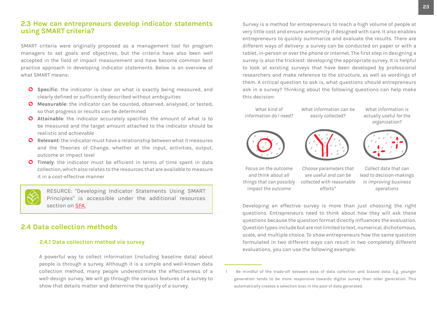### <span id="page-22-0"></span>**2.3 How can entrepreneurs develop indicator statements using SMART criteria?**

SMART criteria were originally proposed as a management tool for program managers to set goals and objectives, but the criteria have also been well accepted in the field of impact measurement and have become common best practice approach in developing indicator statements. Below is an overview of what SMART means:

- **O** Specific: the indicator is clear on what is exactly being measured, and clearly defined or sufficiently described without ambiguities
- **Measurable**: the indicator can be counted, observed, analysed, or tested, so that progress or results can be determined
- **Attainable**: the indicator accurately specifies the amount of what is to be measured and the target amount attached to the indicator should be realistic and achievable
- **Relevant**: the indicator must have a relationship between what it measures and the Theories of Change, whether at the input, activities, output, outcome or impact level
- **Timely**: the indicator must be efficient in terms of time spent in data collection, which also relates to the resources that are available to measure it in a cost-effective manner

RESURCE: "Developing Indicator Statements Using SMART Principles" is accessible under the additional resources section on [SFA.](https://social-finance-academy.org/)

### **2.4 Data collection methods**

#### **2.4.1 Data collection method via survey**

A powerful way to collect information (including baseline data) about people is through a survey. Although it is a simple and well-known data collection method, many people underestimate the effectiveness of a well-design survey. We will go through the various features of a survey to show that details matter and determine the quality of a survey.

Survey is a method for entrepreneurs to reach a high volume of people at very little cost and ensure anonymity if designed with care. It also enables entrepreneurs to quickly summarize and evaluate the results. There are different ways of delivery: a survey can be conducted on paper or with a tablet, in-person or over the phone or internet. The first step in designing a survey is also the trickiest: developing the appropriate survey. It is helpful to look at existing surveys that have been developed by professional researchers and make reference to the structure, as well as wordings of them. A critical question to ask is, what questions should entrepreneurs ask in a survey? Thinking about the following questions can help make this decision:1



Developing an effective survey is more than just choosing the right questions. Entrepreneurs need to think about how they will ask these questions because the question format directly influences the evaluation. Question types include but are not limited to text, numerical, dichotomous, scale, and multiple choice. To show entrepreneurs how the same question formulated in two different ways can result in two completely different evaluations, you can use the following example:

Be mindful of the trade-off between ease of data collection and biased data. E.g. younger generation tends to be more responsive towards digital survey than older generation. This automatically creates a selection bias in the pool of data generated.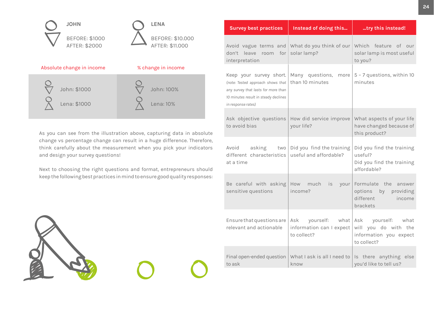

As you can see from the illustration above, capturing data in absolute change vs percentage change can result in a huge difference. Therefore, think carefully about the measurement when you pick your indicators and design your survey questions!

Next to choosing the right questions and format, entrepreneurs should keep the following best practices in mind to ensure good quality responses:



| <b>Survey best practices</b>                                                                                                                                      | Instead of doing this                                               | try this instead!                                                                      |
|-------------------------------------------------------------------------------------------------------------------------------------------------------------------|---------------------------------------------------------------------|----------------------------------------------------------------------------------------|
| Avoid vague terms and<br>don't<br>leave room for<br>interpretation                                                                                                | What do you think of our<br>solar lamp?                             | Which feature of our<br>solar lamp is most useful<br>to you?                           |
| Keep your survey short.<br>(note: Tested approach shows that<br>any survey that lasts for more than<br>10 minutes result in steady declines<br>in response rates) | Many questions,<br>more<br>than 10 minutes                          | 5 - 7 questions, within 10<br>minutes                                                  |
| Ask objective questions<br>to avoid bias                                                                                                                          | How did service improve<br>your life?                               | What aspects of your life<br>have changed because of<br>this product?                  |
| Avoid<br>asking<br>two<br>different characteristics<br>at a time                                                                                                  | Did you find the training<br>useful and affordable?                 | Did you find the training<br>useful?<br>Did you find the training<br>affordable?       |
| Be careful with asking<br>sensitive questions                                                                                                                     | How<br>much<br>is<br>your<br>income?                                | Formulate the answer<br>options by providing<br>different<br>income<br>brackets        |
| Ensure that questions are<br>relevant and actionable                                                                                                              | yourself:<br>what<br>Ask<br>information can I expect<br>to collect? | yourself: what<br>Ask<br>will you do with the<br>information you expect<br>to collect? |
| Final open-ended question<br>to ask                                                                                                                               | What I ask is all I need to<br>know                                 | Is there anything else<br>you'd like to tell us?                                       |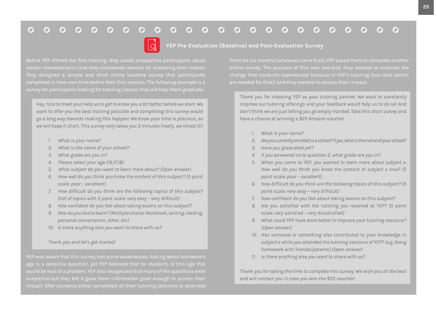#### $000000000000$  $\overline{O}$  $\Omega$  $\Omega$  $\Omega$  $\overline{O}$  $\Omega$  $\overline{O}$  $O$   $O$  $\overline{O}$  $O$   $O$  $\bigcap$



**YEP Pre-Evaluation (Baseline) and Post-Evaluation Survey**

completed in their own time before their first session. The following example is a

*Hey, nice to meet you! Help us to get to know you a bit better before we start. We want to offer you the best training possible and completing this survey would go a long way towards making this happen! We know your time is precious, so we will keep it short. This survey only takes you 3 minutes (really, we timed it!)*

- *1. What is your name?*
- *2. What is the name of your school?*
- *3. What grade are you in?*
- *4. Please select your age (16,17,18)*
- *5. What subject do you want to learn more about? (Open answer)*
- *6. How well do you think you know the content of this subject? (5 point scale: poor – excellent)*
- *7. How difficult do you think are the following topics of this subject? (list of topics with 5 point scale: very easy – very difficult)*
- *8. How confident do you feel about taking exams on this subject?*
- *9. How do you like to learn? (Multiple choice: Workbook, writing, reading, personal conversation, other, etc)*
- *10. Is there anything else you want to share with us?*

#### *Thank you and let's get started!*

age is a sensitive question, yet YEP believed that for students of this age this subjective but they felt it gave them information good enough to assess their

*Thank you for choosing YEP as your tutoring partner. We want to constantly improve our tutoring offerings and your feedback would help us to do so! And don't think we are just letting you go empty-handed. Take this short survey and have a chance at winning a \$20 Amazon voucher*

- *1. What is your name?*
- *2. Are you currently enrolled in a school? If yes, what is the name of your school?*
- *3. Have you graduated yet?*
- *4. If you answered no to question 2, what grade are you in?*
- *5. When you came to YEP, you wanted to learn more about subject x. How well do you think you know the content of subject x now? (5 point scale: poor – excellent)*
- *6. How difficult do you think are the following topics of this subject? (5 point scale: very easy – very difficult)*
- *7. How confident do you feel about taking exams on this subject?*
- *8. Are you satisfied with the tutoring you received at YEP? (5 point scale: very satisfied – very dissatisfied)*
- *9. What could YEP have done better to improve your tutoring sessions? (Open answer)*
- *10. Has someone or something else contributed to your knowledge in subject x while you attended the tutoring sessions of YEP? (e.g. doing homework with friends/parents) (Open answer)*
- *11. Is there anything else you want to share with us?*

*Thank you for taking the time to complete this survey. We wish you all the best and will contact you in case you won the \$20 voucher!*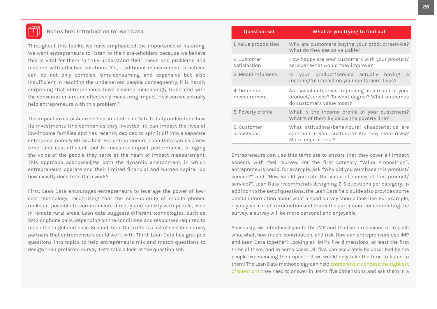

#### Bonus box: Introduction to Lean Data

Throughout this toolkit we have emphasized the importance of listening. We want entrepreneurs to listen to their stakeholders because we believe this is vital for them to truly understand their needs and problems and respond with effective solutions. Yet, traditional measurement practices can be not only complex, time-consuming and expensive but also insufficient in reaching the underserved people. Consequently, it is hardly surprising that entrepreneurs have become increasingly frustrated with the conversation around effectively measuring impact. How can we actually help entrepreneurs with this problem?

The impact investor Acumen has created Lean Data to fully understand how its investments (the companies they invested in) can impact the lives of low-income families and has recently decided to spin it off into a separate enterprise, namely 60 Decibels. For entrepreneurs, Lean Data can be a new time- and cost-efficient tool to measure impact performance, bringing the voice of the people they serve at the heart of impact measurement. This approach acknowledges both the dynamic environment, in which entrepreneurs operate and their limited financial and human capital. So how exactly does Lean Data work?

First, Lean Data encourages entrepreneurs to leverage the power of lowcost technology, recognizing that the near-ubiquity of mobile phones makes it possible to communicate directly and quickly with people, even in remote rural areas. Lean data suggests different technologies, such as SMS or phone calls, depending on the conditions and responses required to reach the target audience. Second, Lean Data offers a list of selected survey partners that entrepreneurs could work with. Third, Lean Data has grouped questions into topics to help entrepreneurs mix and match questions to design their preferred survey. Let's take a look at the question set:

| <b>Question set</b>         | What ar you trying to find out                                                                                                  |  |  |  |
|-----------------------------|---------------------------------------------------------------------------------------------------------------------------------|--|--|--|
| 1. Value proposition        | Why are customers buying your product/service?<br>What do they see as valuable?                                                 |  |  |  |
| 2. Customer<br>satisfaction | How happy are your customers with your product/<br>service? What would they improve?                                            |  |  |  |
| 3. Meaningfulness           | product/service actually<br>having<br>ls.<br>your<br>a<br>meaningful impact on your customers' lives?                           |  |  |  |
| 4. Outcome<br>measurement   | Are social outcomes improving as a result of your<br>product/service? To what degree? What outcomes<br>do customers value most? |  |  |  |
| 5. Poverty profile          | What is the income profile of your customers?<br>What % of them liv below the poverty line?                                     |  |  |  |
| 6. Customer<br>archetypes   | What attitudinal/behavioural chaacteristics are<br>common in your customrs? Are they more risky?<br>More inspirational?         |  |  |  |

Entrepreneurs can use this template to ensure that they cover all impact aspects with their survey. For the first category "Value Proposition", entrepreneurs could, for example, ask "Why did you purchase this product/ service?" and "How would you rate the value of money of this product/ service?". Lean Data recommends designing 2-5 questions per category. In addition to the set of questions, the Lean Data field guide also provides some useful information about what a good survey should look like. For example, if you give a brief introduction and thank the participant for completing the survey, a survey will be more personal and enjoyable.

Previously, we introduced you to the IMP and the five dimensions of impact: who, what, how much, contribution, and risk. How can entrepreneurs use IMP and Lean Data together? Looking at IMP's five dimensions, at least the first three of them, and in some cases, all five, can accurately be described by the people experiencing the impact - if we would only take the time to listen to them! The Lean Data methodology can help entrepreneurs choose the right set of questions they need to answer in IMP's five dimensions and ask them in a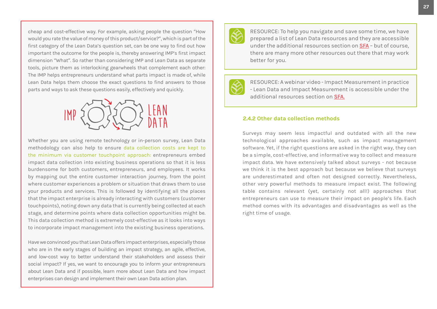cheap and cost-effective way. For example, asking people the question "How would you rate the value of money of this product/service?", which is part of the first category of the Lean Data's question set, can be one way to find out how important the outcome for the people is, thereby answering IMP's first impact dimension "What". So rather than considering IMP and Lean Data as separate tools, picture them as interlocking gearwheels that complement each other: The IMP helps entrepreneurs understand what parts impact is made of, while Lean Data helps them choose the exact questions to find answers to those parts and ways to ask these questions easily, effectively and quickly.



Whether you are using remote technology or in-person survey, Lean Data methodology can also help to ensure data collection costs are kept to the minimum via customer touchpoint approach: entrepreneurs embed impact data collection into existing business operations so that it is less burdensome for both customers, entrepreneurs, and employees. It works by mapping out the entire customer interaction journey, from the point where customer experiences a problem or situation that draws them to use your products and services. This is followed by identifying all the places that the impact enterprise is already interacting with customers (customer touchpoints), noting down any data that is currently being collected at each stage, and determine points where data collection opportunities might be. This data collection method is extremely cost-effective as it looks into ways to incorporate impact management into the existing business operations.

Have we convinced you that Lean Data offers impact enterprises, especially those who are in the early stages of building an impact strategy, an agile, effective, and low-cost way to better understand their stakeholders and assess their social impact? If yes, we want to encourage you to inform your entrepreneurs about Lean Data and if possible, learn more about Lean Data and how impact enterprises can design and implement their own Lean Data action plan.



RESOURCE: To help you navigate and save some time, we have prepared a list of Lean Data resources and they are accessible under the additional resources section on [SFA](https://social-finance-academy.org/) – but of course, there are many more other resources out there that may work better for you.

RESOURCE: A webinar video - Impact Measurement in practice - Lean Data and Impact Measurement is accessible under the additional resources section on [SFA.](https://social-finance-academy.org/)

#### **2.4.2 Other data collection methods**

Surveys may seem less impactful and outdated with all the new technological approaches available, such as impact management software. Yet, if the right questions are asked in the right way, they can be a simple, cost-effective, and informative way to collect and measure impact data. We have extensively talked about surveys - not because we think it is the best approach but because we believe that surveys are underestimated and often not designed correctly. Nevertheless, other very powerful methods to measure impact exist. The following table contains relevant (yet, certainly not all!) approaches that entrepreneurs can use to measure their impact on people's life. Each method comes with its advantages and disadvantages as well as the right time of usage.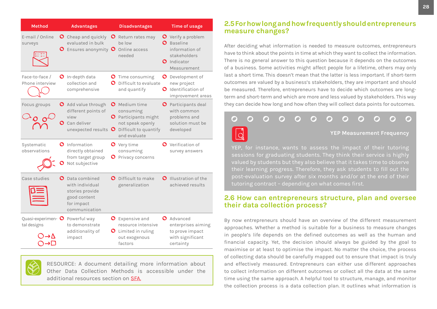<span id="page-27-0"></span>

| <b>Method</b>                     | <b>Advantages</b>                                                                                            | <b>Disadvantages</b>                                                                                                                          | <b>Time of usage</b>                                                                                               |
|-----------------------------------|--------------------------------------------------------------------------------------------------------------|-----------------------------------------------------------------------------------------------------------------------------------------------|--------------------------------------------------------------------------------------------------------------------|
| E-mail / Online<br>surveys        | <b>O</b> Cheap and quickly<br>evaluated in bulk<br>$\bullet$ Ensures anonymity $\bullet$                     | <b>O</b> Return rates may<br>be low<br>Online access<br>needed                                                                                | <b>O</b> Verify a problem<br><b>Baseline</b><br>O.<br>information of<br>stakeholders<br>O Indicator<br>Measurement |
| Face-to-face /<br>Phone interview | $\bullet$ In-depth data<br>collection and<br>comprehensive                                                   | <b>O</b> Time consuming<br>Difficult to evaluate<br>O<br>and quantify                                                                         | O Development of<br>new project<br>Identification of<br>O<br>improvement areas                                     |
| Focus groups                      | O Add value through<br>different points of<br>view<br>O<br>Can deliver<br>unexpected results                 | <b>O</b> Medium time<br>consuming<br><b>O</b> Participants might<br>not speak openly<br>Difficult to quantify<br>$\mathbf{O}$<br>and evaluate | <b>O</b> Participants deal<br>with common<br>problems and<br>solution must be<br>developed                         |
| Systematic<br>observations        | O Information<br>directly obtained<br>from target group<br>Not subjective                                    | <b>O</b> Very time<br>consuming<br><b>O</b> Privacy concerns                                                                                  | <b>O</b> Verification of<br>survey answers                                                                         |
| Case studies                      | $\bullet$ Data combined<br>with individual<br>stories provide<br>good content<br>for impact<br>communication | <b>O</b> Difficult to make<br>generalization                                                                                                  | O Illustration of the<br>achieved results                                                                          |
| Quasi-experimen- O<br>tal designs | Powerful way<br>to demonstrate<br>additionality of<br>impact                                                 | <b>O</b> Expensive and<br>resource intensive<br><b>O</b> Limited in ruling<br>out exogenous<br>factors                                        | O Advanced<br>enterprises aiming<br>to prove impact<br>with significant<br>certainty                               |

RESOURCE: A document detailing more information about Other Data Collection Methods is accessible under the additional resources section on [SFA.](https://social-finance-academy.org/)

#### **2.5 For how long and how frequently should entrepreneurs measure changes?**

After deciding what information is needed to measure outcomes, entrepreneurs have to think about the points in time at which they want to collect the information. There is no general answer to this question because it depends on the outcomes of a business. Some activities might affect people for a lifetime, others may only last a short time. This doesn't mean that the latter is less important. If short-term outcomes are valued by a business's stakeholders, they are important and should be measured. Therefore, entrepreneurs have to decide which outcomes are longterm and short-term and which are more and less valued by stakeholders. This way they can decide how long and how often they will collect data points for outcomes.

#### 7 n  $\sim$ **YEP Measurement Frequency**

YEP, for instance, wants to assess the impact of their tutoring sessions for graduating students. They think their service is highly valued by students but they also believe that it takes time to observe their learning progress. Therefore, they ask students to fill out the post-evaluation survey after six months and/or at the end of their tutoring contract – depending on what comes first.

## **2.6 How can entrepreneurs structure, plan and oversee their data collection process?**

By now entrepreneurs should have an overview of the different measurement approaches. Whether a method is suitable for a business to measure changes in people's life depends on the defined outcomes as well as the human and financial capacity. Yet, the decision should always be guided by the goal to maximise or at least to optimise the impact. No matter the choice, the process of collecting data should be carefully mapped out to ensure that impact is truly and effectively measured. Entrepreneurs can either use different approaches to collect information on different outcomes or collect all the data at the same time using the same approach. A helpful tool to structure, manage, and monitor the collection process is a data collection plan. It outlines what information is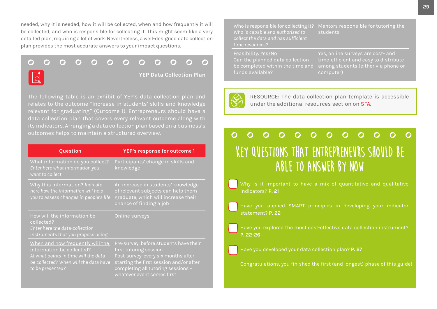needed, why it is needed, how it will be collected, when and how frequently it will be collected, and who is responsible for collecting it. This might seem like a very detailed plan, requiring a lot of work. Nevertheless, a well-designed data collection plan provides the most accurate answers to your impact questions.

 $\mathbf{\Omega}$  $\Omega$  $\Omega$  $\Omega$  $\bigcap$  $\Omega$  $\Omega$  $\Omega$  $\Omega$ ౧  $\mathbf{\Omega}$  $\bigcap$ **YEP Data Collection Plan**  $\overline{a}$ 

The following table is an exhibit of YEP's data collection plan and relates to the outcome "Increase in students' skills and knowledge relevant for graduating" (Outcome 1). Entrepreneurs should have a its indicators. Arranging a data collection plan based on a business's outcomes helps to maintain a structured overview.

| Question                                                                                                                                                           | YEP's response for outcome 1                                                                                                                                                                                           |
|--------------------------------------------------------------------------------------------------------------------------------------------------------------------|------------------------------------------------------------------------------------------------------------------------------------------------------------------------------------------------------------------------|
| What information do you collect?<br>Enter here what information you<br>want to collect                                                                             | Participants' change in skills and<br>knowledge                                                                                                                                                                        |
| Why this information? Indicate<br>here how the information will help<br>you to assess changes in people's life                                                     | An increase in students' knowledge<br>of relevant subjects can help them<br>graduate, which will increase their<br>chance of finding a job                                                                             |
| How will the information be<br>collected?<br>Enter here the data-collection<br>instruments that you propose using                                                  | Online surveys                                                                                                                                                                                                         |
| When and how frequently will the<br>information be collected?<br>At what points in time will the data<br>be collected? When will the data have<br>to be presented? | Pre-survey: before students have their<br>first tutoring session<br>Post-survey: every six months after<br>starting the first session and/or after<br>completing all tutoring sessions -<br>whatever event comes first |

<u>Who is responsible for collecting it?</u> Mentors responsible for tutoring the *Who is capable and authorized to collect the data and has sufficient time resources?* students

Feasibility: Yes/No Can the planned data collection funds available?

be completed within the time and among students (either via phone or computer)



RESOURCE: The data collection plan template is accessible under the additional resources section on [SFA](https://social-finance-academy.org/).

#### $\Omega$  $\Omega$  $\Omega$  $\Omega$ O  $\overline{\mathbf{O}}$  $\Omega$  $\Omega$  $\Omega$  $\Omega$  $\Omega$ **Key questions that entrepreneurs should be able to answer by now**

indicators? **[P. 21](#page-21-0)**

Have you applied SMART principles in developing your indicator statement? **[P. 22](#page-22-0)**

Have you explored the most cost-effective data collection instrument? **[P. 22-26](#page-22-0)**

Have you developed your data collection plan? **[P. 27](#page-27-0)**

Congratulations, you finished the first (and longest) phase of this guide!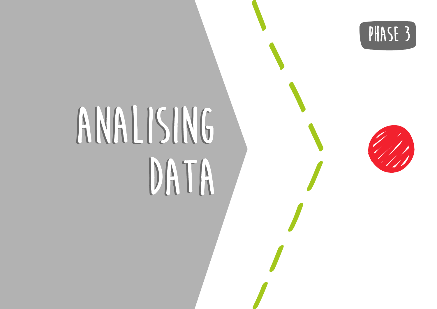



# **ANALISING ANALISING DATA DATA**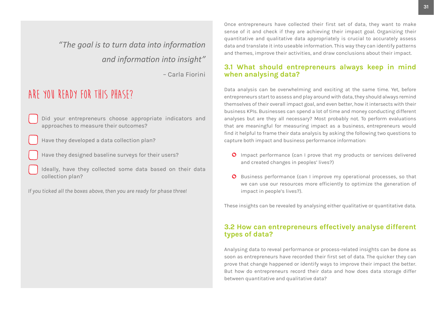<span id="page-30-0"></span>*"The goal is to turn data into information and information into insight"* 

– Carla Fiorini

# **Are you ready for this phase?**

Did your entrepreneurs choose appropriate indicators and approaches to measure their outcomes?

Have they developed a data collection plan?

- Have they designed baseline surveys for their users?
- Ideally, have they collected some data based on their data collection plan?

*If you ticked all the boxes above, then you are ready for phase three!*

Once entrepreneurs have collected their first set of data, they want to make sense of it and check if they are achieving their impact goal. Organizing their quantitative and qualitative data appropriately is crucial to accurately assess data and translate it into useable information. This way they can identify patterns and themes, improve their activities, and draw conclusions about their impact.

### **3.1 What should entrepreneurs always keep in mind when analysing data?**

Data analysis can be overwhelming and exciting at the same time. Yet, before entrepreneurs start to assess and play around with data, they should always remind themselves of their overall impact goal, and even better, how it intersects with their business KPIs. Businesses can spend a lot of time and money conducting different analyses but are they all necessary? Most probably not. To perform evaluations that are meaningful for measuring impact as a business, entrepreneurs would find it helpful to frame their data analysis by asking the following two questions to capture both impact and business performance information:

- Impact performance (can I prove that my products or services delivered and created changes in peoples' lives?)
- **O** Business performance (can I improve my operational processes, so that we can use our resources more efficiently to optimize the generation of impact in people's lives?).

These insights can be revealed by analysing either qualitative or quantitative data.

#### **3.2 How can entrepreneurs effectively analyse different types of data?**

Analysing data to reveal performance or process-related insights can be done as soon as entrepreneurs have recorded their first set of data. The quicker they can prove that change happened or identify ways to improve their impact the better. But how do entrepreneurs record their data and how does data storage differ between quantitative and qualitative data?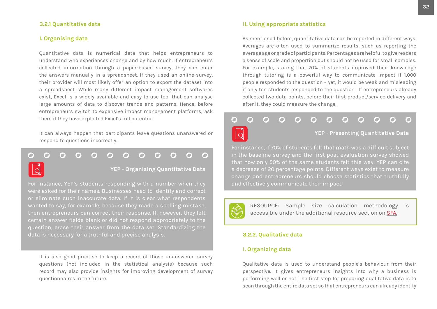#### <span id="page-31-0"></span>**3.2.1 Quantitative data**

#### **I. Organising data**

Quantitative data is numerical data that helps entrepreneurs to understand who experiences change and by how much. If entrepreneurs collected information through a paper-based survey, they can enter the answers manually in a spreadsheet. If they used an online-survey, their provider will most likely offer an option to export the dataset into a spreadsheet. While many different impact management softwares exist, Excel is a widely available and easy-to-use tool that can analyse large amounts of data to discover trends and patterns. Hence, before entrepreneurs switch to expensive impact management platforms, ask them if they have exploited Excel's full potential.

It can always happen that participants leave questions unanswered or respond to questions incorrectly.

n  $\Box$  $\bigcap$  $\overline{\phantom{a}}$ 

**YEP - Organising Quantitative Data** 

For instance, YEP's students responding with a number when they were asked for their names. Businesses need to identify and correct or eliminate such inaccurate data. If it is clear what respondents wanted to say, for example, because they made a spelling mistake, then entrepreneurs can correct their response. If, however, they left certain answer fields blank or did not respond appropriately to the question, erase their answer from the data set. Standardizing the data is necessary for a truthful and precise analysis.

It is also good practise to keep a record of those unanswered survey questions (not included in the statistical analysis) because such record may also provide insights for improving development of survey questionnaires in the future.

#### **II. Using appropriate statistics**

As mentioned before, quantitative data can be reported in different ways. Averages are often used to summarize results, such as reporting the average age or grade of participants. Percentages are helpful to give readers a sense of scale and proportion but should not be used for small samples. For example, stating that 70% of students improved their knowledge through tutoring is a powerful way to communicate impact if 1,000 people responded to the question – yet, it would be weak and misleading if only ten students responded to the question. If entrepreneurs already collected two data points, before their first product/service delivery and after it, they could measure the change.

#### $\bigcirc$ O ∩ **YEP - Presenting Quantitative Data**

For instance, if 70% of students felt that math was a difficult subject in the baseline survey and the first post-evaluation survey showed that now only 50% of the same students felt this way, YEP can cite a decrease of 20 percentage points. Different ways exist to measure change and entrepreneurs should choose statistics that truthfully and effectively communicate their impact.



RESOURCE: Sample size calculation methodology is accessible under the additional resource section on [SFA](https://social-finance-academy.org/).

#### **3.2.2. Qualitative data**

#### **I. Organizing data**

Qualitative data is used to understand people's behaviour from their perspective. It gives entrepreneurs insights into why a business is performing well or not. The first step for preparing qualitative data is to scan through the entire data set so that entrepreneurs can already identify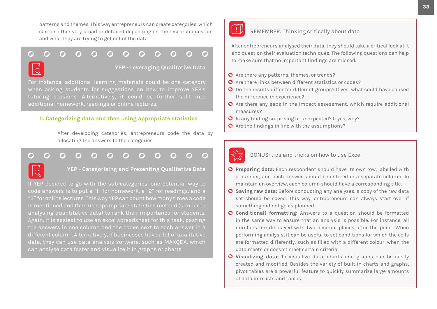<span id="page-32-0"></span>patterns and themes. This way entrepreneurs can create categories, which can be either very broad or detailed depending on the research question and what they are trying to get out of the data.

#### ∩ n  $\overline{\phantom{a}}$  $\Box$ ∩

**YEP - Leveraging Qualitative Data**

For instance, additional learning materials could be one category when asking students for suggestions on how to improve YEP's tutoring sessions. Alternatively, it could be further split into additional homework, readings or online lectures.

#### **II. Categorizing data and then using appropriate statistics**

After developing categories, entrepreneurs code the data by allocating the answers to the categories.

### $\Box$



**YEP - Categorising and Presenting Qualitative Data**

If YEP decided to go with the sub-categories, one potential way to code answers is to put a "1" for homework, a "2" for readings, and a "3" for online lectures. This way YEP can count how many times a code is mentioned and then use appropriate statistics method (similar to analysing quantitative data) to rank their importance for students. Again, it is easiest to use an excel spreadsheet for this task, pasting the answers in one column and the codes next to each answer in a data, they can use data analysis software, such as MAXQDA, which can analyse data faster and visualize it in graphs or charts.



#### REMEMBER: Thinking critically about data

After entrepreneurs analysed their data, they should take a critical look at it and question their evaluation techniques. The following questions can help to make sure that no important findings are missed:

- **O** Are there any patterns, themes, or trends?
- **O** Are there links between different statistics or codes?
- O Do the results differ for different groups? If yes, what could have caused the difference in experience?
- $\bullet$  Are there any gaps in the impact assessment, which require additional measures?
- $\bullet$  Is any finding surprising or unexpected? If yes, why?
- **O** Are the findings in line with the assumptions?



BONUS: tips and tricks on how to use Excel

- **Preparing data:** Each respondent should have its own row, labelled with a number, and each answer should be entered in a separate column. To maintain an overview, each column should have a corresponding title.
- **Saving raw data:** Before conducting any analyses, a copy of the raw data set should be saved. This way, entrepreneurs can always start over if something did not go as planned.
- **C** Conditional) formatting: Answers to a question should be formatted in the same way to ensure that an analysis is possible. For instance, all numbers are displayed with two decimal places after the point. When performing analysis, it can be useful to set conditions for which the cells are formatted differently, such as filled with a different colour, when the data meets or doesn't meet certain criteria.
- **Visualizing data:** To visualize data, charts and graphs can be easily created and modified. Besides the variety of built-in charts and graphs, pivot tables are a powerful feature to quickly summarize large amounts of data into lists and tables.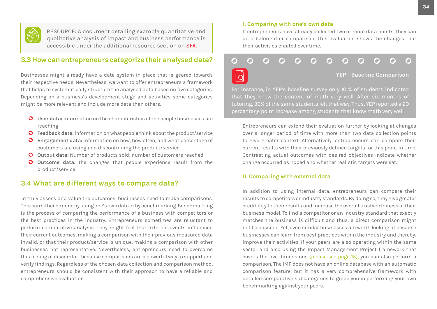<span id="page-33-0"></span>

RESOURCE: A document detailing example quantitative and qualitative analysis of impact and business performance is accessible under the additional resource section on [SFA](https://social-finance-academy.org/).

## **3.3 How can entrepreneurs categorize their analysed data?**

Businesses might already have a data system in place that is geared towards their respective needs. Nevertheless, we want to offer entrepreneurs a framework that helps to systematically structure the analysed data based on five categories. Depending on a business's development stage and activities some categories might be more relevant and include more data than others.

- **User data:** information on the characteristics of the people businesses are reaching
- **Feedback data:** information on what people think about the product/service
- **Engagement data:** information on how, how often, and what percentage of customers are using and discontinuing the product/service
- **Output data:** Number of products sold; number of customers reached
- **O** Outcome data: the changes that people experience result from the product/service

## **3.4 What are different ways to compare data?**

To truly assess and value the outcomes, businesses need to make comparisons. This can either be done by using one's own data or by benchmarking. Benchmarking is the process of comparing the performance of a business with competitors or the best practices in the industry. Entrepreneurs sometimes are reluctant to perform comparative analysis. They might feel that external events influenced their current outcomes, making a comparison with their previous measured data invalid, or that their product/service is unique, making a comparison with other businesses not representative. Nevertheless, entrepreneurs need to overcome this feeling of discomfort because comparisons are a powerful way to support and verify findings. Regardless of the chosen data collection and comparison method, entrepreneurs should be consistent with their approach to have a reliable and comprehensive evaluation.

#### **I. Comparing with one's own data**

If entrepreneurs have already collected two or more data points, they can do a before-after comparison. This evaluation shows the changes that their activities created over time.

#### $\mathbf{\Omega}$ O O  $\overline{Q}$ **YEP - Baseline Comparison**

For instance, in YEP's baseline survey only 10 % of students indicated tutoring, 30% of the same students felt that way. Thus, YEP reported a 20 percentage point increase among students that know math very well.

Entrepreneurs can extend their evaluation further by looking at changes over a longer period of time with more than two data collection points to give greater context. Alternatively, entrepreneurs can compare their current results with their previously defined targets for this point in time. Contrasting actual outcomes with desired objectives indicate whether change occurred as hoped and whether realistic targets were set.

#### **II. Comparing with external data**

In addition to using internal data, entrepreneurs can compare their results to competitors or industry standards. By doing so, they give greater credibility to their results and increase the overall trustworthiness of their business model. To find a competitor or an industry standard that exactly matches the business is difficult and thus, a direct comparison might not be possible. Yet, even similar businesses are worth looking at because businesses can learn from best practices within the industry and thereby, improve their activities. If your peers are also operating within the same sector and also using the Impact Management Project framework that covers the five dimensions [\(please see page 15\),](#page-15-0) you can also perform a comparison. The IMP does not have an online database with an automatic comparison feature, but it has a very comprehensive framework with detailed comparative subcategories to guide you in performing your own benchmarking against your peers.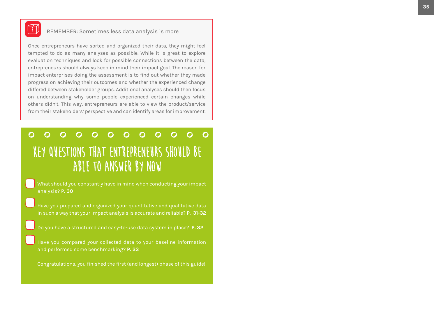

## REMEMBER: Sometimes less data analysis is more

Once entrepreneurs have sorted and organized their data, they might feel tempted to do as many analyses as possible. While it is great to explore evaluation techniques and look for possible connections between the data, entrepreneurs should always keep in mind their impact goal. The reason for impact enterprises doing the assessment is to find out whether they made progress on achieving their outcomes and whether the experienced change differed between stakeholder groups. Additional analyses should then focus on understanding why some people experienced certain changes while others didn't. This way, entrepreneurs are able to view the product/service from their stakeholders' perspective and can identify areas for improvement.

#### $\overline{O}$  $\bullet$   $\bullet$  $\overline{O}$  $\Omega$  $\mathbf{\Omega}$  $\Omega$ ∩  $\Omega$ **Key questions that entrepreneurs should be able to answer by now**

What should you constantly have in mind when conducting your impact analysis? **[P. 30](#page-30-0)**

- Have you prepared and organized your quantitative and qualitative data in such a way that your impact analysis is accurate and reliable? **[P. 31-32](#page-31-0)**
- Do you have a structured and easy-to-use data system in place? **[P. 32](#page-32-0)**

Have you compared your collected data to your baseline information and performed some benchmarking? **[P. 33](#page-33-0)**

Congratulations, you finished the first (and longest) phase of this guide!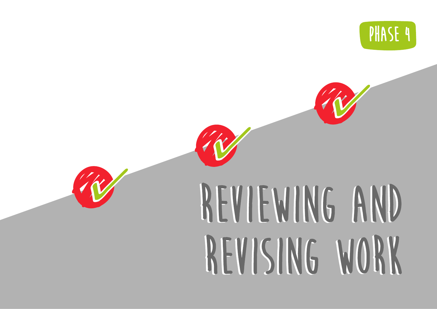



# **Reviewing and Reviewing and revising work revising work**

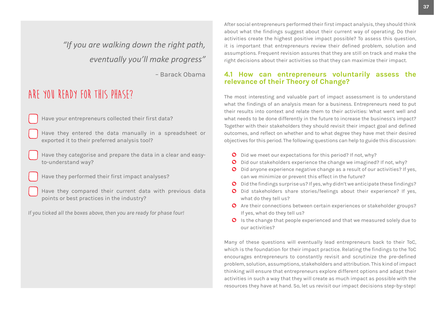*"If you are walking down the right path, eventually you'll make progress"* 

– Barack Obama

# **Are you ready for this phase?**

Have your entrepreneurs collected their first data?

Have they entered the data manually in a spreadsheet or exported it to their preferred analysis tool?

Have they categorise and prepare the data in a clear and easyto-understand way?

Have they performed their first impact analyses?

Have they compared their current data with previous data points or best practices in the industry?

*If you ticked all the boxes above, then you are ready for phase four!*

After social entrepreneurs performed their first impact analysis, they should think about what the findings suggest about their current way of operating. Do their activities create the highest positive impact possible? To assess this question, it is important that entrepreneurs review their defined problem, solution and assumptions. Frequent revision assures that they are still on track and make the right decisions about their activities so that they can maximize their impact.

## **4.1 How can entrepreneurs voluntarily assess the relevance of their Theory of Change?**

The most interesting and valuable part of impact assessment is to understand what the findings of an analysis mean for a business. Entrepreneurs need to put their results into context and relate them to their activities: What went well and what needs to be done differently in the future to increase the business's impact? Together with their stakeholders they should revisit their impact goal and defined outcomes, and reflect on whether and to what degree they have met their desired objectives for this period. The following questions can help to guide this discussion:

- O Did we meet our expectations for this period? If not, why?
- O Did our stakeholders experience the change we imagined? If not, why?
- O Did anyone experience negative change as a result of our activities? If yes, can we minimize or prevent this effect in the future?
- Did the findings surprise us? If yes, why didn't we anticipate these findings?
- O Did stakeholders share stories/feelings about their experience? If yes, what do they tell us?
- **O** Are their connections between certain experiences or stakeholder groups? If yes, what do they tell us?
- **O** Is the change that people experienced and that we measured solely due to our activities?

Many of these questions will eventually lead entrepreneurs back to their ToC, which is the foundation for their impact practice. Relating the findings to the ToC encourages entrepreneurs to constantly revisit and scrutinize the pre-defined problem, solution, assumptions, stakeholders and attribution. This kind of impact thinking will ensure that entrepreneurs explore different options and adapt their activities in such a way that they will create as much impact as possible with the resources they have at hand. So, let us revisit our impact decisions step-by-step!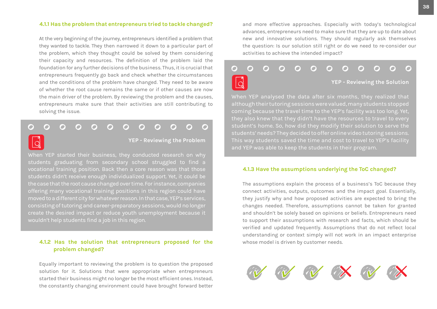#### <span id="page-37-0"></span>**4.1.1 Has the problem that entrepreneurs tried to tackle changed?**

At the very beginning of the journey, entrepreneurs identified a problem that they wanted to tackle. They then narrowed it down to a particular part of the problem, which they thought could be solved by them considering their capacity and resources. The definition of the problem laid the foundation for any further decisions of the business. Thus, it is crucial that entrepreneurs frequently go back and check whether the circumstances and the conditions of the problem have changed. They need to be aware of whether the root cause remains the same or if other causes are now the main driver of the problem. By reviewing the problem and the causes, entrepreneurs make sure that their activities are still contributing to solving the issue.

#### $\bigcap$ ∩ O O  $\blacksquare$  $\blacksquare$ O  $\bullet$ O

 $\overline{O}$ 

**YEP - Reviewing the Problem**

When YEP started their business, they conducted research on why students graduating from secondary school struggled to find a vocational training position. Back then a core reason was that those students didn't receive enough individualized support. Yet, it could be the case that the root cause changed over time. For instance, companies offering many vocational training positions in this region could have moved to a different city for whatever reason. In that case, YEP's services, consisting of tutoring and career-preparatory sessions, would no longer create the desired impact or reduce youth unemployment because it wouldn't help students find a job in this region.

#### **4.1.2 Has the solution that entrepreneurs proposed for the problem changed?**

Equally important to reviewing the problem is to question the proposed solution for it. Solutions that were appropriate when entrepreneurs started their business might no longer be the most efficient ones. Instead, the constantly changing environment could have brought forward better and more effective approaches. Especially with today's technological advances, entrepreneurs need to make sure that they are up to date about new and innovative solutions. They should regularly ask themselves the question: Is our solution still right or do we need to re-consider our activities to achieve the intended impact?



although their tutoring sessions were valued, many students stopped coming because the travel time to the YEP's facility was too long. Yet, student's home. So, how did they modify their solution to serve the students' needs? They decided to offer online video tutoring sessions. and YEP was able to keep the students in their program.

#### **4.1.3 Have the assumptions underlying the ToC changed?**

The assumptions explain the process of a business's ToC because they connect activities, outputs, outcomes and the impact goal. Essentially, they justify why and how proposed activities are expected to bring the changes needed. Therefore, assumptions cannot be taken for granted and shouldn't be solely based on opinions or beliefs. Entrepreneurs need to support their assumptions with research and facts, which should be verified and updated frequently. Assumptions that do not reflect local understanding or context simply will not work in an impact enterprise whose model is driven by customer needs.

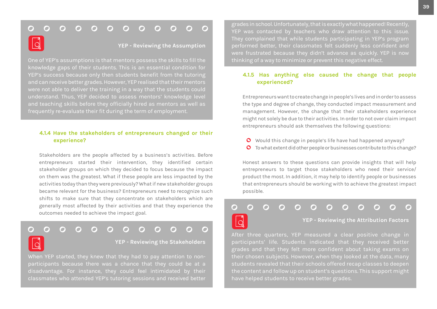#### $\begin{array}{ccc} \circ & \circ & \circ & \circ \end{array}$  $\Omega$  $O$   $O$  $\overline{\phantom{a}}$  $\mathbf O$  $\Omega$  $\mathbf{\Omega}$ G

**YEP - Reviewing the Assumption**

knowledge gaps of their students. This is an essential condition for and can receive better grades. However, YEP realised that their mentors were not able to deliver the training in a way that the students could understand. Thus, YEP decided to assess mentors' knowledge level and teaching skills before they officially hired as mentors as well as frequently re-evaluate their fit during the term of employment.

#### **4.1.4 Have the stakeholders of entrepreneurs changed or their experience?**

Stakeholders are the people affected by a business's activities. Before entrepreneurs started their intervention, they identified certain stakeholder groups on which they decided to focus because the impact on them was the greatest. What if these people are less impacted by the activities today than they were previously? What if new stakeholder groups became relevant for the business? Entrepreneurs need to recognize such shifts to make sure that they concentrate on stakeholders which are generally most affected by their activities and that they experience the outcomes needed to achieve the impact goal.

#### ∩ O ∩ n

 $\overline{O}$ 

#### **YEP - Reviewing the Stakeholders**

When YEP started, they knew that they had to pay attention to nonparticipants because there was a chance that they could be at a disadvantage. For instance, they could feel intimidated by their classmates who attended YEP's tutoring sessions and received better

grades in school. Unfortunately, that is exactly what happened! Recently, YEP was contacted by teachers who draw attention to this issue. They complained that while students participating in YEP's program performed better, their classmates felt suddenly less confident and were frustrated because they didn't advance as quickly. YEP is now thinking of a way to minimize or prevent this negative effect.

#### **4.1.5 Has anything else caused the change that people experienced?**

Entrepreneurs want to create change in people's lives and in order to assess the type and degree of change, they conducted impact measurement and management. However, the change that their stakeholders experience might not solely be due to their activities. In order to not over claim impact entrepreneurs should ask themselves the following questions:

- Would this change in people's life have had happened anyway?
- **O** To what extent did other people or businesses contribute to this change?

Honest answers to these questions can provide insights that will help entrepreneurs to target those stakeholders who need their service/ product the most. In addition, it may help to identify people or businesses that entrepreneurs should be working with to achieve the greatest impact possible.

#### C n × Ō O

**YEP - Reviewing the Attribution Factors**

After three quarters, YEP measured a clear positive change in participants' life. Students indicated that they received better grades and that they felt more confident about taking exams on their chosen subjects. However, when they looked at the data, many students revealed that their schools offered recap classes to deepen the content and follow up on student's questions. This support might have helped students to receive better grades.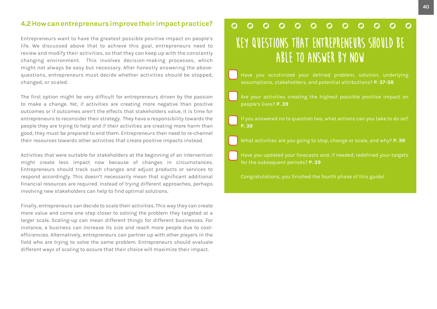## **4.2 How can entrepreneurs improve their impact practice?**

Entrepreneurs want to have the greatest possible positive impact on people's life. We discussed above that to achieve this goal, entrepreneurs need to review and modify their activities, so that they can keep up with the constantly changing environment. This involves decision-making processes, which might not always be easy but necessary. After honestly answering the abovequestions, entrepreneurs must decide whether activities should be stopped, changed, or scaled.

The first option might be very difficult for entrepreneurs driven by the passion to make a change. Yet, if activities are creating more negative than positive outcomes or if outcomes aren't the effects that stakeholders value, it is time for entrepreneurs to reconsider their strategy. They have a responsibility towards the people they are trying to help and if their activities are creating more harm than good, they must be prepared to end them. Entrepreneurs then need to re-channel their resources towards other activities that create positive impacts instead.

Activities that were suitable for stakeholders at the beginning of an intervention might create less impact now because of changes in circumstances. Entrepreneurs should track such changes and adjust products or services to respond accordingly. This doesn't necessarily mean that significant additional financial resources are required. Instead of trying different approaches, perhaps involving new stakeholders can help to find optimal solutions.

Finally, entrepreneurs can decide to scale their activities. This way they can create more value and come one step closer to solving the problem they targeted at a larger scale. Scaling-up can mean different things for different businesses. For instance, a business can increase its size and reach more people due to costefficiencies. Alternatively, entrepreneurs can partner up with other players in the field who are trying to solve the same problem. Entrepreneurs should evaluate different ways of scaling to assure that their choice will maximize their impact.

#### $\Omega$  $\overline{O}$  $\Omega$  $\Omega$  $\Omega$  $\Omega$  $\Omega$  $\Omega$ ∩  $\Omega$ **Key questions that entrepreneurs should be able to answer by now**

- Have you scrutinized your defined problem, solution, underlying assumptions, stakeholders, and potential attributions? **[P. 37-38](#page-37-0)**
- Are your activities creating the highest possible positive impact on people's lives? **P. 39**
- If you answered no to question two, what actions can you take to do so? **P. 39**
- What activities are you going to stop, change or scale, and why? **P. 39**
- Have you updated your forecasts and, if needed, redefined your targets for the subsequent periods? **P. 39**
- Congratulations, you finished the fourth phase of this guide!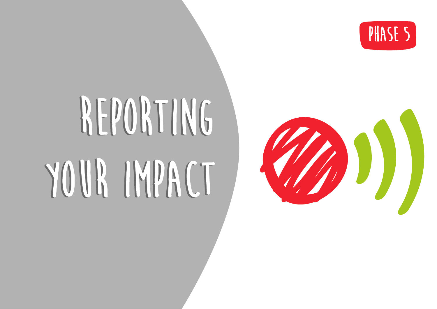

# **REPORTING REPORTING YOUR IMPACT YOUR IMPACT**

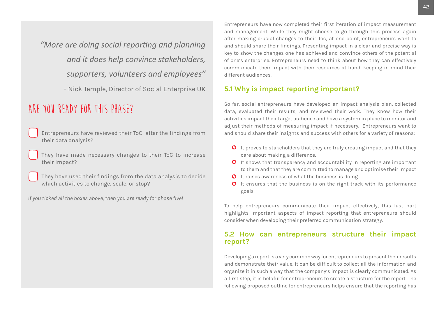*"More are doing social reporting and planning and it does help convince stakeholders, supporters, volunteers and employees"* 

– Nick Temple, Director of Social Enterprise UK

# **Are you ready for this phase?**

- Entrepreneurs have reviewed their ToC after the findings from their data analysis?
- They have made necessary changes to their ToC to increase their impact?

They have used their findings from the data analysis to decide which activities to change, scale, or stop?

*If you ticked all the boxes above, then you are ready for phase five!*

Entrepreneurs have now completed their first iteration of impact measurement and management. While they might choose to go through this process again after making crucial changes to their Toc, at one point, entrepreneurs want to and should share their findings. Presenting impact in a clear and precise way is key to show the changes one has achieved and convince others of the potential of one's enterprise. Entrepreneurs need to think about how they can effectively communicate their impact with their resources at hand, keeping in mind their different audiences.

## **5.1 Why is impact reporting important?**

So far, social entrepreneurs have developed an impact analysis plan, collected data, evaluated their results, and reviewed their work. They know how their activities impact their target audience and have a system in place to monitor and adjust their methods of measuring impact if necessary. Entrepreneurs want to and should share their insights and success with others for a variety of reasons:

- $\bullet$  It proves to stakeholders that they are truly creating impact and that they care about making a difference.
- **O** It shows that transparency and accountability in reporting are important to them and that they are committed to manage and optimise their impact
- O It raises awareness of what the business is doing.
- **O** It ensures that the business is on the right track with its performance goals.

To help entrepreneurs communicate their impact effectively, this last part highlights important aspects of impact reporting that entrepreneurs should consider when developing their preferred communication strategy.

### **5.2 How can entrepreneurs structure their impact report?**

Developing a report is a very common way for entrepreneurs to present their results and demonstrate their value. It can be difficult to collect all the information and organize it in such a way that the company's impact is clearly communicated. As a first step, it is helpful for entrepreneurs to create a structure for the report. The following proposed outline for entrepreneurs helps ensure that the reporting has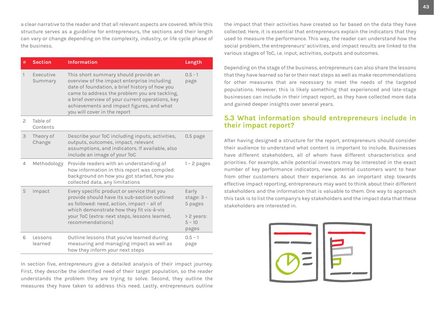<span id="page-42-0"></span>a clear narrative to the reader and that all relevant aspects are covered. While this structure serves as a guideline for entrepreneurs, the sections and their length can vary or change depending on the complexity, industry, or life cycle phase of the business.

| #            | <b>Section</b>       | <b>Information</b>                                                                                                                                                                                                                                                                                                      | Length                                         |
|--------------|----------------------|-------------------------------------------------------------------------------------------------------------------------------------------------------------------------------------------------------------------------------------------------------------------------------------------------------------------------|------------------------------------------------|
| $\mathbf{1}$ | Executive<br>Summary | This short summary should provide an<br>overview of the impact enterprise including<br>date of foundation, a brief history of how you<br>came to address the problem you are tackling,<br>a brief overview of your current operations, key<br>achievements and impact figures, and what<br>you will cover in the report | $0.5 - 1$<br>page                              |
| 2            | Table of<br>Contents |                                                                                                                                                                                                                                                                                                                         |                                                |
| 3            | Theory of<br>Change  | Describe your ToC including inputs, activities,<br>outputs, outcomes, impact, relevant<br>assumptions, and indicators. If available, also<br>include an image of your ToC                                                                                                                                               | $0.5$ page                                     |
| 4            | Methodology          | Provide readers with an understanding of<br>how information in this report was compiled:<br>background on how you got started, how you<br>collected data, any limitations                                                                                                                                               | $1 - 2$ pages                                  |
| 5            | Impact               | Every specific product or service that you<br>provide should have its sub-section outlined<br>as followed: need, action, impact - all of<br>which demonstrate how they fit vis-à-vis<br>your ToC (extra: next steps, lessons learned,                                                                                   | Early<br>stage: $3 -$<br>5 pages<br>> 2 years: |
|              |                      | recommendations)                                                                                                                                                                                                                                                                                                        | $5 - 10$<br>pages                              |
| 6            | Lessons<br>learned   | Outline lessons that you've learned during<br>measuring and managing impact as well as<br>how they inform your next steps                                                                                                                                                                                               | $0.5 - 1$<br>page                              |

In section five, entrepreneurs give a detailed analysis of their impact journey. First, they describe the identified need of their target population, so the reader understands the problem they are trying to solve. Second, they outline the measures they have taken to address this need. Lastly, entrepreneurs outline

the impact that their activities have created so far based on the data they have collected. Here, it is essential that entrepreneurs explain the indicators that they used to measure the performance. This way, the reader can understand how the social problem, the entrepreneurs' activities, and impact results are linked to the various stages of ToC, i.e. input, activities, outputs and outcomes.

Depending on the stage of the business, entrepreneurs can also share the lessons that they have learned so far or their next steps as well as make recommendations for other measures that are necessary to meet the needs of the targeted populations. However, this is likely something that experienced and late-stage businesses can include in their impact report, as they have collected more data and gained deeper insights over several years.

#### **5.3 What information should entrepreneurs include in their impact report?**

After having designed a structure for the report, entrepreneurs should consider their audience to understand what content is important to include. Businesses have different stakeholders, all of whom have different characteristics and priorities. For example, while potential investors may be interested in the exact number of key performance indicators, new potential customers want to hear from other customers about their experience. As an important step towards effective impact reporting, entrepreneurs may want to think about their different stakeholders and the information that is valuable to them. One way to approach this task is to list the company's key stakeholders and the impact data that these stakeholders are interested in.

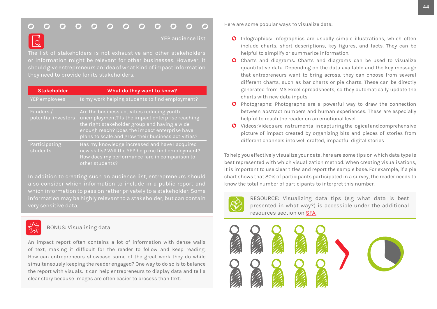#### <span id="page-43-0"></span> $\bigcap$ O

YEP audience list

The list of stakeholders is not exhaustive and other stakeholders or information might be relevant for other businesses. However, it should give entrepreneurs an idea of what kind of impact information

| <b>Stakeholder</b>               | What do they want to know?                                                                                                                                                                                                                            |
|----------------------------------|-------------------------------------------------------------------------------------------------------------------------------------------------------------------------------------------------------------------------------------------------------|
| YEP employees                    | Is my work helping students to find employment?                                                                                                                                                                                                       |
| Funders /<br>potential investors | Are the business activities reducing youth<br>unemployment? Is the impact enterprise reaching<br>the right stakeholder group and having a wide<br>enough reach? Does the impact enterprise have<br>plans to scale and grow their business activities? |
| Participating<br>students        | Has my knowledge increased and have I acquired<br>new skills? Will the YEP help me find employment?<br>How does my performance fare in comparison to<br>other students?                                                                               |

In addition to creating such an audience list, entrepreneurs should also consider which information to include in a public report and which information to pass on rather privately to a stakeholder. Some information may be highly relevant to a stakeholder, but can contain very sensitive data.



BONUS: Visualising data

An impact report often contains a lot of information with dense walls of text, making it difficult for the reader to follow and keep reading. How can entrepreneurs showcase some of the great work they do while simultaneously keeping the reader engaged? One way to do so is to balance the report with visuals. It can help entrepreneurs to display data and tell a clear story because images are often easier to process than text.

Here are some popular ways to visualize data:

- **O** Infographics: Infographics are usually simple illustrations, which often include charts, short descriptions, key figures, and facts. They can be helpful to simplify or summarize information.
- O Charts and diagrams: Charts and diagrams can be used to visualize quantitative data. Depending on the data available and the key message that entrepreneurs want to bring across, they can choose from several different charts, such as bar charts or pie charts. These can be directly generated from MS Excel spreadsheets, so they automatically update the charts with new data inputs
- **O** Photographs: Photographs are a powerful way to draw the connection between abstract numbers and human experiences. These are especially helpful to reach the reader on an emotional level.
- Videos: Videos are instrumental in capturing the logical and comprehensive picture of impact created by organizing bits and pieces of stories from different channels into well crafted, impactful digital stories

To help you effectively visualize your data, here are some tips on which data type is best represented with which visualization method. When creating visualisations, it is important to use clear titles and report the sample base. For example, if a pie chart shows that 80% of participants participated in a survey, the reader needs to know the total number of participants to interpret this number.



RESOURCE: Visualizing data tips (e.g what data is best presented in what way?) is accessible under the additional resources section on [SFA.](https://social-finance-academy.org/)

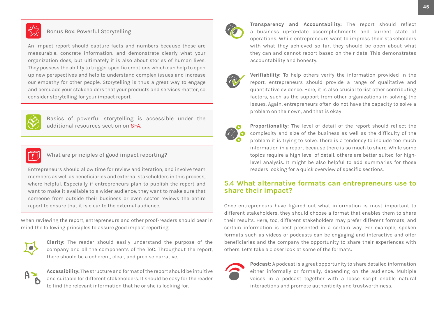<span id="page-44-0"></span>

#### Bonus Box: Powerful Storytelling

An impact report should capture facts and numbers because those are measurable, concrete information, and demonstrate clearly what your organization does, but ultimately it is also about stories of human lives. They possess the ability to trigger specific emotions which can help to open up new perspectives and help to understand complex issues and increase our empathy for other people. Storytelling is thus a great way to engage and persuade your stakeholders that your products and services matter, so consider storytelling for your impact report.



Basics of powerful storytelling is accessible under the additional resources section on [SFA](https://social-finance-academy.org/).



#### What are principles of good impact reporting?

Entrepreneurs should allow time for review and iteration, and involve team members as well as beneficiaries and external stakeholders in this process, where helpful. Especially if entrepreneurs plan to publish the report and want to make it available to a wider audience, they want to make sure that someone from outside their business or even sector reviews the entire report to ensure that it is clear to the external audience.

When reviewing the report, entrepreneurs and other proof-readers should bear in mind the following principles to assure good impact reporting:



**Clarity:** The reader should easily understand the purpose of the company and all the components of the ToC. Throughout the report, there should be a coherent, clear, and precise narrative.



**Accessibility:** The structure and format of the report should be intuitive and suitable for different stakeholders. It should be easy for the reader to find the relevant information that he or she is looking for.



**Transparency and Accountability:** The report should reflect a business up-to-date accomplishments and current state of operations. While entrepreneurs want to impress their stakeholders with what they achieved so far, they should be open about what they can and cannot report based on their data. This demonstrates accountability and honesty.



**Verifiability:** To help others verify the information provided in the report, entrepreneurs should provide a range of qualitative and quantitative evidence. Here, it is also crucial to list other contributing factors, such as the support from other organizations in solving the issues. Again, entrepreneurs often do not have the capacity to solve a problem on their own, and that is okay!



**Proportionality:** The level of detail of the report should reflect the complexity and size of the business as well as the difficulty of the problem it is trying to solve. There is a tendency to include too much information in a report because there is so much to share. While some topics require a high level of detail, others are better suited for highlevel analysis. It might be also helpful to add summaries for those readers looking for a quick overview of specific sections.

#### **5.4 What alternative formats can entrepreneurs use to share their impact?**

Once entrepreneurs have figured out what information is most important to different stakeholders, they should choose a format that enables them to share their results. Here, too, different stakeholders may prefer different formats, and certain information is best presented in a certain way. For example, spoken formats such as videos or podcasts can be engaging and interactive and offer beneficiaries and the company the opportunity to share their experiences with others. Let's take a closer look at some of the formats:



**Podcast:** A podcast is a great opportunity to share detailed information either informally or formally, depending on the audience. Multiple voices in a podcast together with a loose script enable natural interactions and promote authenticity and trustworthiness.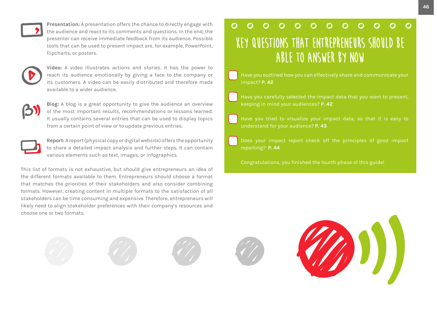

**Presentation:** A presentation offers the chance to directly engage with the audience and react to its comments and questions. In the end, the presenter can receive immediate feedback from its audience. Possible tools that can be used to present impact are, for example, PowerPoint, flipcharts, or posters.



**Video:** A video illustrates actions and stories. It has the power to reach its audience emotionally by giving a face to the company or its customers. A video can be easily distributed and therefore made available to a wider audience.



**Blog:** A blog is a great opportunity to give the audience an overview of the most important results, recommendations or lessons learned. It usually contains several entries that can be used to display topics from a certain point of view or to update previous entries.



**Report:** A report (physical copy or digital website) offers the opportunity to share a detailed impact analysis and further steps. It can contain various elements such as text, images, or infographics.

This list of formats is not exhaustive, but should give entrepreneurs an idea of the different formats available to them. Entrepreneurs should choose a format that matches the priorities of their stakeholders and also consider combining formats. However, creating content in multiple formats to the satisfaction of all stakeholders can be time consuming and expensive. Therefore, entrepreneurs will likely need to align stakeholder preferences with their company's resources and choose one or two formats.

## $\Omega$  $\Omega$ **Key questions that entrepreneurs should be able to answer by now**

- Have you outlined how you can effectively share and communicate your impact? **[P. 42](#page-42-0)**
- keeping in mind your audiences? **[P. 42](#page-42-0)**
- Have you tried to visualize your impact data, so that it is easy to understand for your audience? **[P. 43](#page-43-0)**
- Does your impact report check off the principles of good impact reporting? **[P. 44](#page-44-0)**
- Congratulations, you finished the fourth phase of this guide!



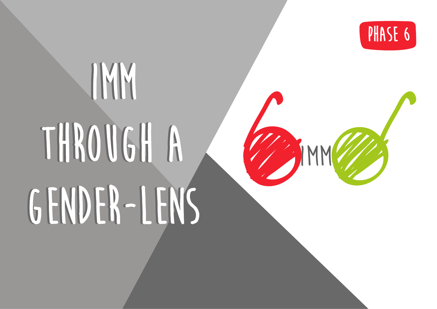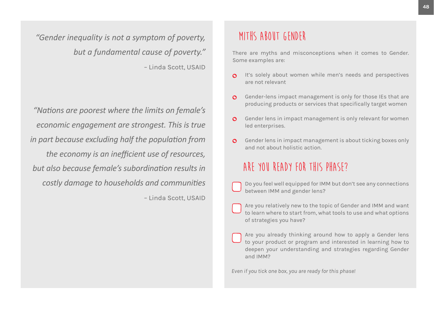*"Gender inequality is not a symptom of poverty, but a fundamental cause of poverty."*  – Linda Scott, USAID

*"Nations are poorest where the limits on female's economic engagement are strongest. This is true in part because excluding half the population from the economy is an inefficient use of resources, but also because female's subordination results in costly damage to households and communities*  – Linda Scott, USAID

## **MITHS ABOUT GENDER**

There are myths and misconceptions when it comes to Gender. Some examples are:

- It's solely about women while men's needs and perspectives are not relevant
- Gender-lens impact management is only for those IEs that are producing products or services that specifically target women
- Gender lens in impact management is only relevant for women  $\Omega$ led enterprises.
- Gender lens in impact management is about ticking boxes only and not about holistic action.

# **Are you ready for this phase?**

- Do you feel well equipped for IMM but don't see any connections between IMM and gender lens?
- Are you relatively new to the topic of Gender and IMM and want to learn where to start from, what tools to use and what options of strategies you have?
- Are you already thinking around how to apply a Gender lens to your product or program and interested in learning how to deepen your understanding and strategies regarding Gender and IMM?

*Even if you tick one box, you are ready for this phase!*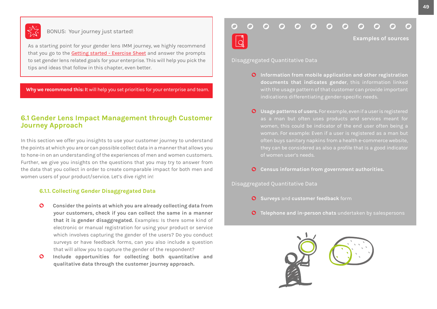

### BONUS: Your journey just started!

As a starting point for your gender lens IMM journey, we highly recommend that you go to the [Getting started](https://www.sie-b.org/expand-your-skills/impact-measurement-and-management-toolkit/) - Exercise Sheet and answer the prompts to set gender lens related goals for your enterprise. This will help you pick the tips and ideas that follow in this chapter, even better.

**Why we recommend this: I**t will help you set priorities for your enterprise and team.

## **6.1 Gender Lens Impact Management through Customer Journey Approach**

In this section we offer you insights to use your customer journey to understand the points at which you are or can possible collect data in a manner that allows you to hone-in on an understanding of the experiences of men and women customers. Further, we give you insights on the questions that you may try to answer from the data that you collect in order to create comparable impact for both men and women users of your product/service. Let's dive right in!

#### **6.1.1. Collecting Gender Disaggregated Data**

- **Consider the points at which you are already collecting data from**   $\Omega$ **your customers, check if you can collect the same in a manner that it is gender disaggregated.** Examples: Is there some kind of electronic or manual registration for using your product or service which involves capturing the gender of the users? Do you conduct surveys or have feedback forms, can you also include a question that will allow you to capture the gender of the respondent?
- $\mathbf{\Omega}$ **Include opportunities for collecting both quantitative and qualitative data through the customer journey approach.**

#### O O  $\bigcap$ ∩ O

**Examples of sources**

Disaggregated Quantitative Data

- **Information from mobile application and other registration documents that indicates gender**, this information linked with the usage pattern of that customer can provide important indications differentiating gender-specific needs.
- **Usage patterns of users.** For example, even if a user is registered as a man but often uses products and services meant for of women user's needs.
- **Census information from government authorities.**

Disaggregated Quantitative Data

- **O** Surveys and **customer** feedback form
- **Telephone and in-person chats** undertaken by salespersons $\mathbf{O}$

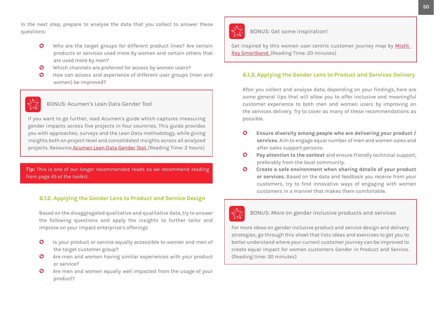In the next step, prepare to analyse the data that you collect to answer these questions:

- $\mathbf{O}$ Who are the target groups for different product lines? Are certain products or services used more by women and certain others that are used more by men?
- Which channels are preferred for access by women users?  $\mathbf{O}$
- How can access and experience of different user groups (men and  $\mathbf{O}$ women) be improved?



BONUS: Acumen's Lean Data Gender Tool

If you want to go further, read Acumen's guide which captures measuring gender impacts across five projects in four countries. This guide provides you with approaches, surveys and the Lean Data methodology, while giving insights both on project-level and consolidated insights across all analyzed projects. Resourc[e Acumen Lean Data Gender Tool.](https://www.sie-b.org/expand-your-skills/impact-measurement-and-management-toolkit/) (Reading Time: 2 hours)

**Tip:** This is one of our longer recommended reads so we recommend reading from page 45 of the toolkit.

#### **6.1.2. Applying the Gender Lens to Product and Service Design**

Based on the disaggregated qualitative and qualitative data, try to answer the following questions and apply the insights to further tailor and improve on your impact enterprise's offerings

- Is your product or service equally accessible to women and men of  $\mathbf{O}$ the target customer group?
- Are men and women having similar experiences with your product  $\mathbf{O}$ or service?
- $\mathbf{O}$ Are men and women equally well impacted from the usage of your product?



BONUS: Get some inspiration!

Get inspired by this women user centric customer journey map by Misfit [Ray Smartband.](https://www.sie-b.org/expand-your-skills/impact-measurement-and-management-toolkit/) (Reading Time: 20 minutes)

#### **6.1.3. Applying the Gender Lens to Product and Services Delivery**

After you collect and analyse data, depending on your findings, here are some general tips that will allow you to offer inclusive and meaningful customer experience to both men and women users by improving on the services delivery. Try to cover as many of these recommendations as possible.

- $\mathbf{O}$ **Ensure diversity among people who are delivering your product / services.** Aim to engage equal number of men and women sales and after sales support persons.
- $\mathbf{O}$ **Pay attention to the context** and ensure friendly technical support, preferably from the local community.
- **Create a safe environment when sharing details of your product**   $\bullet$ **or services.** Based on the data and feedback you receive from your customers, try to find innovative ways of engaging with women customers in a manner that makes them comfortable.



BONUS: More on gender inclusive products and services

For more ideas on gender inclusive product and service design and delivery strategies, go through this sheet that lists ideas and exercises to get you to better understand where your current customer journey can be improved to create equal impact for women customers Gender in Product and Service. (Reading time: 30 minutes)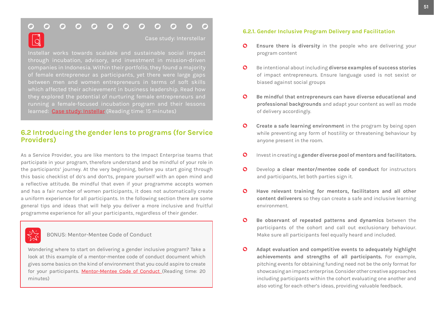#### $\bigcap$  $\bigcap$  $\bigcap$ ∩  $\bigcap$  $\Omega$  $\bigcap$

Case study: Interstellar

Instellar works towards scalable and sustainable social impact through incubation, advisory, and investment in mission-driven companies in Indonesia. Within their portfolio, they found a majority of female entrepreneur as participants, yet there were large gaps between men and women entrepreneurs in terms of soft skills which affected their achievement in business leadership. Read how they explored the potential of nurturing female entrepreneurs and running a female-focused incubation program and their lessons learned: [Case study: Instellar](https://www.sie-b.org/expand-your-skills/impact-measurement-and-management-toolkit/) (Reading time: 15 minutes)

## **6.2 Introducing the gender lens to programs (for Service Providers)**

As a Service Provider, you are like mentors to the Impact Enterprise teams that participate in your program, therefore understand and be mindful of your role in the participants' journey. At the very beginning, before you start going through this basic checklist of do's and don'ts, prepare yourself with an open mind and a reflective attitude. Be mindful that even if your programme accepts women and has a fair number of women participants, it does not automatically create a uniform experience for all participants. In the following section there are some general tips and ideas that will help you deliver a more inclusive and fruitful programme experience for all your participants, regardless of their gender.

#### BONUS: Mentor-Mentee Code of Conduct

Wondering where to start on delivering a gender inclusive program? Take a look at this example of a mentor-mentee code of conduct document which gives some basics on the kind of environment that you could aspire to create for your participants. [Mentor-Mentee Code of Conduct](https://www.sie-b.org/expand-your-skills/impact-measurement-and-management-toolkit/) (Reading time: 20 minutes)

#### **6.2.1. Gender Inclusive Program Delivery and Facilitation**

- $\mathbf{O}$ **Ensure there is diversity** in the people who are delivering your program content
- $\mathbf{O}$ Be intentional about including **diverse examples of success stories**  of impact entrepreneurs. Ensure language used is not sexist or biased against social groups
- $\Omega$ **Be mindful that entrepreneurs can have diverse educational and professional backgrounds** and adapt your content as well as mode of delivery accordingly.
- $\Omega$ **Create a safe learning environment** in the program by being open while preventing any form of hostility or threatening behaviour by anyone present in the room.
- $\mathbf{\Omega}$ Invest in creating a **gender diverse pool of mentors and facilitators.**
- $\mathbf{o}$ Develop **a clear mentor/mentee code of conduct** for instructors and participants, let both parties sign it.
- $\mathbf{\Omega}$ **Have relevant training for mentors, facilitators and all other content deliverers** so they can create a safe and inclusive learning environment.
- $\mathbf{\Omega}$ **Be observant of repeated patterns and dynamics** between the participants of the cohort and call out exclusionary behaviour. Make sure all participants feel equally heard and included.
- $\Omega$ **Adapt evaluation and competitive events to adequately highlight achievements and strengths of all participants.** For example, pitching events for obtaining funding need not be the only format for showcasing an impact enterprise. Consider other creative approaches including participants within the cohort evaluating one another and also voting for each other's ideas, providing valuable feedback.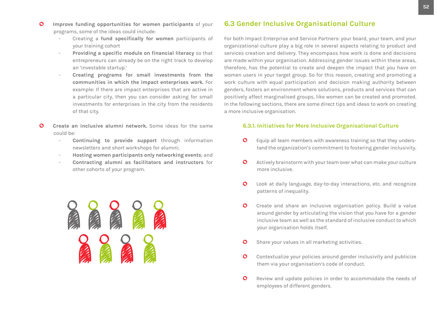- $\mathbf O$ **Improve funding opportunities for women participants** of your programs, some of the ideas could include:
	- Creating a **fund specifically for women** participants of your training cohort
	- **Providing a specific module on financial literacy** so that entrepreneurs can already be on the right track to develop an 'investable startup.'
	- **Creating programs for small investments from the communities in which the impact enterprises work.** For example: If there are impact enterprises that are active in a particular city, then you can consider asking for small investments for enterprises in the city from the residents of that city.
- റ **Create an inclusive alumni network.** Some ideas for the same could be:
	- Continuing to provide support through information newsletters and short workshops for alumni;
	- **Hosting women participants only networking events**; and
	- **Contracting alumni as facilitators and instructors** for other cohorts of your program.



## **6.3 Gender Inclusive Organisational Culture**

For both Impact Enterprise and Service Partners: your board, your team, and your organizational culture play a big role in several aspects relating to product and services creation and delivery. They encompass how work is done and decisions are made within your organisation. Addressing gender issues within these areas, therefore, has the potential to create and deepen the impact that you have on women users in your target group. So for this reason, creating and promoting a work culture with equal participation and decision making authority between genders, fosters an environment where solutions, products and services that can positively affect marginalised groups, like women can be created and promoted. In the following sections, there are some direct tips and ideas to work on creating a more inclusive organisation.

#### **6.3.1. Initiatives for More Inclusive Organisational Culture**

- Equip all team members with awareness training so that they unders- $\mathbf{o}$ tand the organization's commitment to fostering gender inclusivity.
- Actively brainstorm with your team over what can make your culture  $\mathbf{O}$ more inclusive.
- $\circ$ Look at daily language, day-to-day interactions, etc. and recognize patterns of inequality.
- Create and share an inclusive organisation policy. Build a value  $\mathbf{O}$ around gender by articulating the vision that you have for a gender inclusive team as well as the standard of inclusive conduct to which your organisation holds itself.
- Share your values in all marketing activities.  $\mathbf{O}$
- $\mathbf{O}$ Contextualize your policies around gender inclusivity and publicize them via your organisation's code of conduct.
- $\circ$ Review and update policies in order to accommodate the needs of employees of different genders.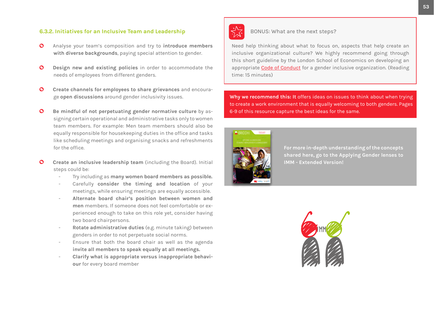#### **6.3.2. Initiatives for an Inclusive Team and Leadership**

- $\bullet$ Analyse your team's composition and try to **introduce members with diverse backgrounds**, paying special attention to gender.
- $\mathbf O$ **Design new and existing policies** in order to accommodate the needs of employees from different genders.
- $\mathbf{O}$ **Create channels for employees to share grievances** and encourage **open discussions** around gender inclusivity issues.
- $\mathbf{O}$ **Be mindful of not perpetuating gender normative culture** by assigning certain operational and administrative tasks only to women team members. For example: Men team members should also be equally responsible for housekeeping duties in the office and tasks like scheduling meetings and organising snacks and refreshments for the office.
- **Create an inclusive leadership team** (including the Board). Initial  $\Omega$ steps could be:
	- Try including as **many women board members as possible.**
	- Carefully **consider the timing and location** of your meetings, while ensuring meetings are equally accessible.
	- **Alternate board chair's position between women and men** members. If someone does not feel comfortable or experienced enough to take on this role yet, consider having two board chairpersons.
	- **Rotate administrative duties** (e.g. minute taking) between genders in order to not perpetuate social norms.
	- Ensure that both the board chair as well as the agenda **invite all members to speak equally at all meetings.**
	- **Clarify what is appropriate versus inappropriate behaviour** for every board member



#### BONUS: What are the next steps?

Need help thinking about what to focus on, aspects that help create an inclusive organizational culture? We highly recommend going through this short guideline by the London School of Economics on developing an appropriate [Code of Conduct](https://www.sie-b.org/expand-your-skills/impact-measurement-and-management-toolkit/) for a gender inclusive organization. (Reading time: 15 minutes)

**Why we recommend this: It** offers ideas on issues to think about when trying to create a work environment that is equally welcoming to both genders. Pages 6-9 of this resource capture the best ideas for the same.



**For more in-depth understanding of the concepts [shared here, go to the Applying Gender lenses to](https://www.sie-b.org/expand-your-skills/impact-measurement-and-management-toolkit/)  IMM - Extended Version!**

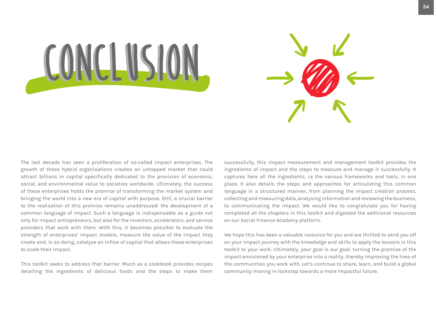



The last decade has seen a proliferation of so-called impact enterprises. The growth of these hybrid organisations creates an untapped market that could attract billions in capital specifically dedicated to the provision of economic, social, and environmental value to societies worldwide. Ultimately, the success of these enterprises holds the promise of transforming the market system and bringing the world into a new era of capital with purpose. Still, a crucial barrier to the realisation of this promise remains unaddressed: the development of a common language of impact. Such a language is indispensable as a guide not only for impact entrepreneurs, but also for the investors, accelerators, and service providers that work with them. With this, it becomes possible to evaluate the strength of enterprises' impact models, measure the value of the impact they create and, in so doing, catalyse an inflow of capital that allows these enterprises to scale their impact.

This toolkit seeks to address that barrier. Much as a cookbook provides recipes detailing the ingredients of delicious foods and the steps to make them successfully, this impact measurement and management toolkit provides the ingredients of impact and the steps to measure and manage it successfully. It captures here all the ingredients, i.e the various frameworks and tools, in one place. It also details the steps and approaches for articulating this common language in a structured manner, from planning the impact creation process, collecting and measuring data, analysing information and reviewing the business, to communicating the impact. We would like to congratulate you for having completed all the chapters in this toolkit and digested the additional resources on our Social Finance Academy platform.

We hope this has been a valuable resource for you and are thrilled to send you off on your impact journey with the knowledge and skills to apply the lessons in this toolkit to your work. Ultimately, your goal is our goal: turning the promise of the impact envisioned by your enterprise into a reality, thereby improving the lives of the communities you work with. Let's continue to share, learn, and build a global community moving in lockstep towards a more impactful future.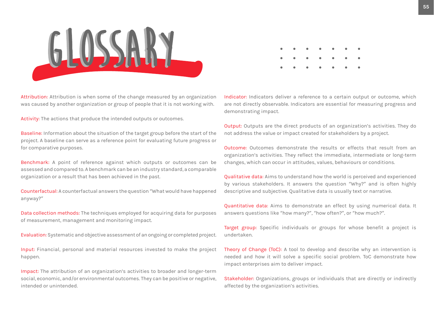

Attribution: Attribution is when some of the change measured by an organization was caused by another organization or group of people that it is not working with.

Activity: The actions that produce the intended outputs or outcomes.

Baseline: Information about the situation of the target group before the start of the project. A baseline can serve as a reference point for evaluating future progress or for comparative purposes.

Benchmark: A point of reference against which outputs or outcomes can be assessed and compared to. A benchmark can be an industry standard, a comparable organization or a result that has been achieved in the past.

Counterfactual: A counterfactual answers the question "What would have happened anyway?"

Data collection methods: The techniques employed for acquiring data for purposes of measurement, management and monitoring impact.

Evaluation: Systematic and objective assessment of an ongoing or completed project.

Input: Financial, personal and material resources invested to make the project happen.

Impact: The attribution of an organization's activities to broader and longer-term social, economic, and/or environmental outcomes. They can be positive or negative, intended or unintended.

|  | . |  |  |  |
|--|---|--|--|--|
|  |   |  |  |  |

Indicator: Indicators deliver a reference to a certain output or outcome, which are not directly observable. Indicators are essential for measuring progress and demonstrating impact.

Output: Outputs are the direct products of an organization's activities. They do not address the value or impact created for stakeholders by a project.

Outcome: Outcomes demonstrate the results or effects that result from an organization's activities. They reflect the immediate, intermediate or long-term changes, which can occur in attitudes, values, behaviours or conditions.

Qualitative data: Aims to understand how the world is perceived and experienced by various stakeholders. It answers the question "Why?" and is often highly descriptive and subjective. Qualitative data is usually text or narrative.

Quantitative data: Aims to demonstrate an effect by using numerical data. It answers questions like "how many?", "how often?", or "how much?".

Target group: Specific individuals or groups for whose benefit a project is undertaken.

Theory of Change (ToC): A tool to develop and describe why an intervention is needed and how it will solve a specific social problem. ToC demonstrate how impact enterprises aim to deliver impact.

Stakeholder: Organizations, groups or individuals that are directly or indirectly affected by the organization's activities.